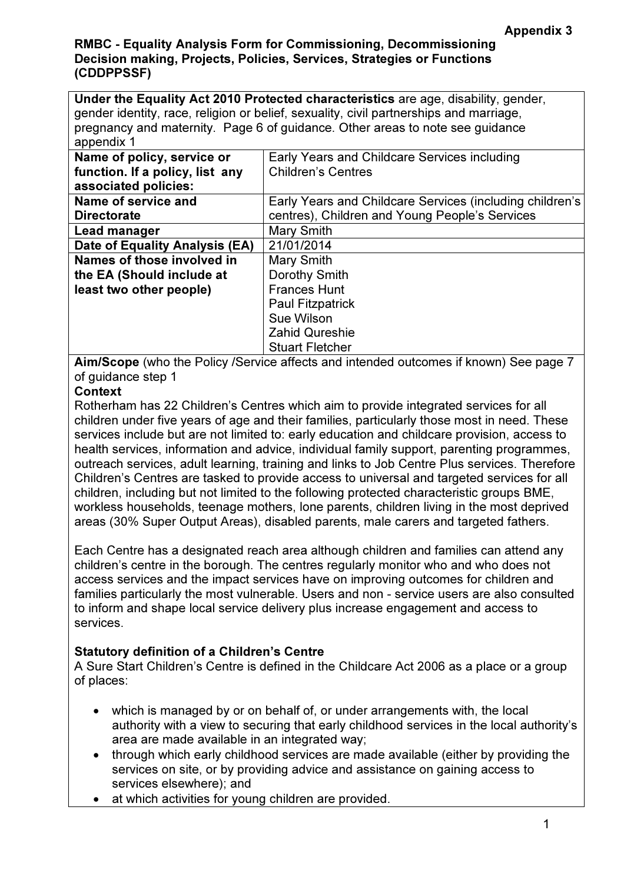Under the Equality Act 2010 Protected characteristics are age, disability, gender, gender identity, race, religion or belief, sexuality, civil partnerships and marriage, pregnancy and maternity. Page 6 of guidance. Other areas to note see guidance appendix 1

| Name of policy, service or      | Early Years and Childcare Services including             |
|---------------------------------|----------------------------------------------------------|
| function. If a policy, list any | <b>Children's Centres</b>                                |
| associated policies:            |                                                          |
| Name of service and             | Early Years and Childcare Services (including children's |
| <b>Directorate</b>              | centres), Children and Young People's Services           |
| Lead manager                    | Mary Smith                                               |
| Date of Equality Analysis (EA)  | 21/01/2014                                               |
| Names of those involved in      | Mary Smith                                               |
| the EA (Should include at       | Dorothy Smith                                            |
| least two other people)         | <b>Frances Hunt</b>                                      |
|                                 | <b>Paul Fitzpatrick</b>                                  |
|                                 | Sue Wilson                                               |
|                                 | <b>Zahid Qureshie</b>                                    |
|                                 | <b>Stuart Fletcher</b>                                   |

Aim/Scope (who the Policy /Service affects and intended outcomes if known) See page 7 of guidance step 1

# **Context**

Rotherham has 22 Children's Centres which aim to provide integrated services for all children under five years of age and their families, particularly those most in need. These services include but are not limited to: early education and childcare provision, access to health services, information and advice, individual family support, parenting programmes, outreach services, adult learning, training and links to Job Centre Plus services. Therefore Children's Centres are tasked to provide access to universal and targeted services for all children, including but not limited to the following protected characteristic groups BME, workless households, teenage mothers, lone parents, children living in the most deprived areas (30% Super Output Areas), disabled parents, male carers and targeted fathers.

Each Centre has a designated reach area although children and families can attend any children's centre in the borough. The centres regularly monitor who and who does not access services and the impact services have on improving outcomes for children and families particularly the most vulnerable. Users and non - service users are also consulted to inform and shape local service delivery plus increase engagement and access to services.

# Statutory definition of a Children's Centre

A Sure Start Children's Centre is defined in the Childcare Act 2006 as a place or a group of places:

- which is managed by or on behalf of, or under arrangements with, the local authority with a view to securing that early childhood services in the local authority's area are made available in an integrated way;
- through which early childhood services are made available (either by providing the services on site, or by providing advice and assistance on gaining access to services elsewhere); and
- at which activities for young children are provided.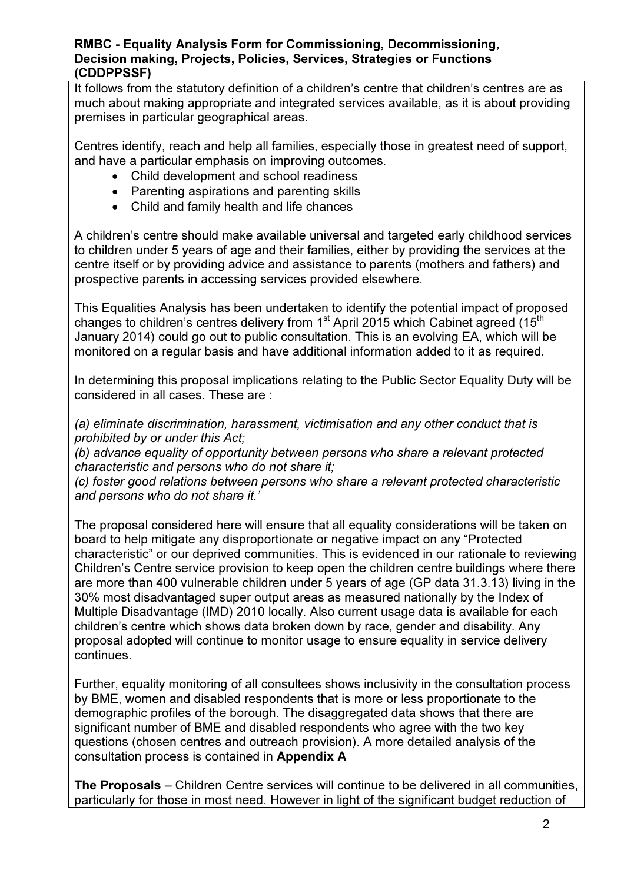It follows from the statutory definition of a children's centre that children's centres are as much about making appropriate and integrated services available, as it is about providing premises in particular geographical areas.

Centres identify, reach and help all families, especially those in greatest need of support, and have a particular emphasis on improving outcomes.

- Child development and school readiness
- Parenting aspirations and parenting skills
- Child and family health and life chances

A children's centre should make available universal and targeted early childhood services to children under 5 years of age and their families, either by providing the services at the centre itself or by providing advice and assistance to parents (mothers and fathers) and prospective parents in accessing services provided elsewhere.

This Equalities Analysis has been undertaken to identify the potential impact of proposed changes to children's centres delivery from 1<sup>st</sup> April 2015 which Cabinet agreed (15<sup>th</sup>) January 2014) could go out to public consultation. This is an evolving EA, which will be monitored on a regular basis and have additional information added to it as required.

In determining this proposal implications relating to the Public Sector Equality Duty will be considered in all cases. These are :

(a) eliminate discrimination, harassment, victimisation and any other conduct that is prohibited by or under this Act;

(b) advance equality of opportunity between persons who share a relevant protected characteristic and persons who do not share it;

(c) foster good relations between persons who share a relevant protected characteristic and persons who do not share it.'

The proposal considered here will ensure that all equality considerations will be taken on board to help mitigate any disproportionate or negative impact on any "Protected characteristic" or our deprived communities. This is evidenced in our rationale to reviewing Children's Centre service provision to keep open the children centre buildings where there are more than 400 vulnerable children under 5 years of age (GP data 31.3.13) living in the 30% most disadvantaged super output areas as measured nationally by the Index of Multiple Disadvantage (IMD) 2010 locally. Also current usage data is available for each children's centre which shows data broken down by race, gender and disability. Any proposal adopted will continue to monitor usage to ensure equality in service delivery continues.

Further, equality monitoring of all consultees shows inclusivity in the consultation process by BME, women and disabled respondents that is more or less proportionate to the demographic profiles of the borough. The disaggregated data shows that there are significant number of BME and disabled respondents who agree with the two key questions (chosen centres and outreach provision). A more detailed analysis of the consultation process is contained in Appendix A

The Proposals – Children Centre services will continue to be delivered in all communities, particularly for those in most need. However in light of the significant budget reduction of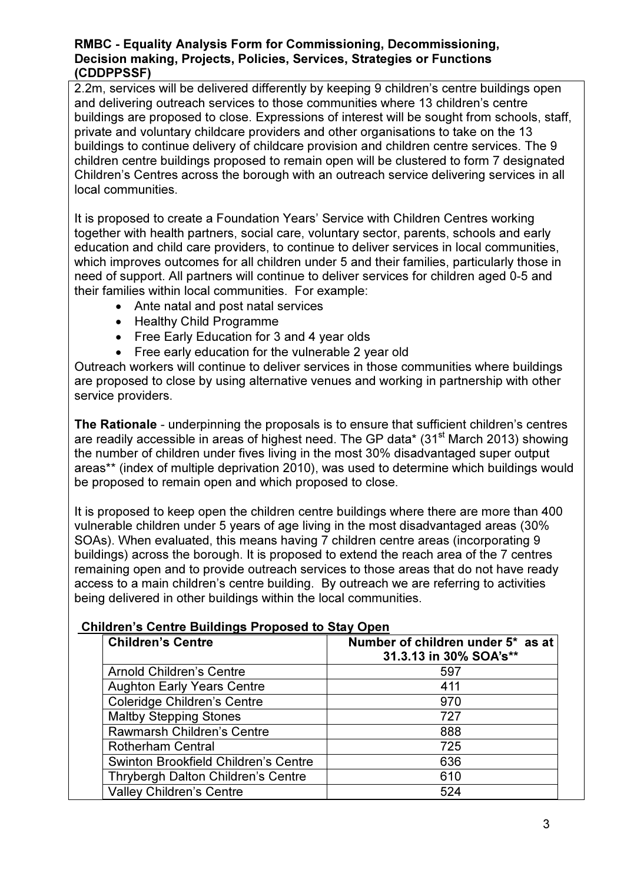2.2m, services will be delivered differently by keeping 9 children's centre buildings open and delivering outreach services to those communities where 13 children's centre buildings are proposed to close. Expressions of interest will be sought from schools, staff, private and voluntary childcare providers and other organisations to take on the 13 buildings to continue delivery of childcare provision and children centre services. The 9 children centre buildings proposed to remain open will be clustered to form 7 designated Children's Centres across the borough with an outreach service delivering services in all local communities.

It is proposed to create a Foundation Years' Service with Children Centres working together with health partners, social care, voluntary sector, parents, schools and early education and child care providers, to continue to deliver services in local communities, which improves outcomes for all children under 5 and their families, particularly those in need of support. All partners will continue to deliver services for children aged 0-5 and their families within local communities. For example:

- Ante natal and post natal services
- Healthy Child Programme
- Free Early Education for 3 and 4 year olds
- Free early education for the vulnerable 2 year old

Outreach workers will continue to deliver services in those communities where buildings are proposed to close by using alternative venues and working in partnership with other service providers.

The Rationale - underpinning the proposals is to ensure that sufficient children's centres are readily accessible in areas of highest need. The GP data\*  $(31<sup>st</sup>$  March 2013) showing the number of children under fives living in the most 30% disadvantaged super output areas\*\* (index of multiple deprivation 2010), was used to determine which buildings would be proposed to remain open and which proposed to close.

It is proposed to keep open the children centre buildings where there are more than 400 vulnerable children under 5 years of age living in the most disadvantaged areas (30% SOAs). When evaluated, this means having 7 children centre areas (incorporating 9 buildings) across the borough. It is proposed to extend the reach area of the 7 centres remaining open and to provide outreach services to those areas that do not have ready access to a main children's centre building. By outreach we are referring to activities being delivered in other buildings within the local communities.

#### Children's Centre Buildings Proposed to Stay Open

| <b>Children's Centre</b>                    | Number of children under 5* as at<br>31.3.13 in 30% SOA's** |
|---------------------------------------------|-------------------------------------------------------------|
| <b>Arnold Children's Centre</b>             | 597                                                         |
| <b>Aughton Early Years Centre</b>           | 411                                                         |
| <b>Coleridge Children's Centre</b>          | 970                                                         |
| <b>Maltby Stepping Stones</b>               | 727                                                         |
| Rawmarsh Children's Centre                  | 888                                                         |
| <b>Rotherham Central</b>                    | 725                                                         |
| <b>Swinton Brookfield Children's Centre</b> | 636                                                         |
| Thrybergh Dalton Children's Centre          | 610                                                         |
| <b>Valley Children's Centre</b>             | 524                                                         |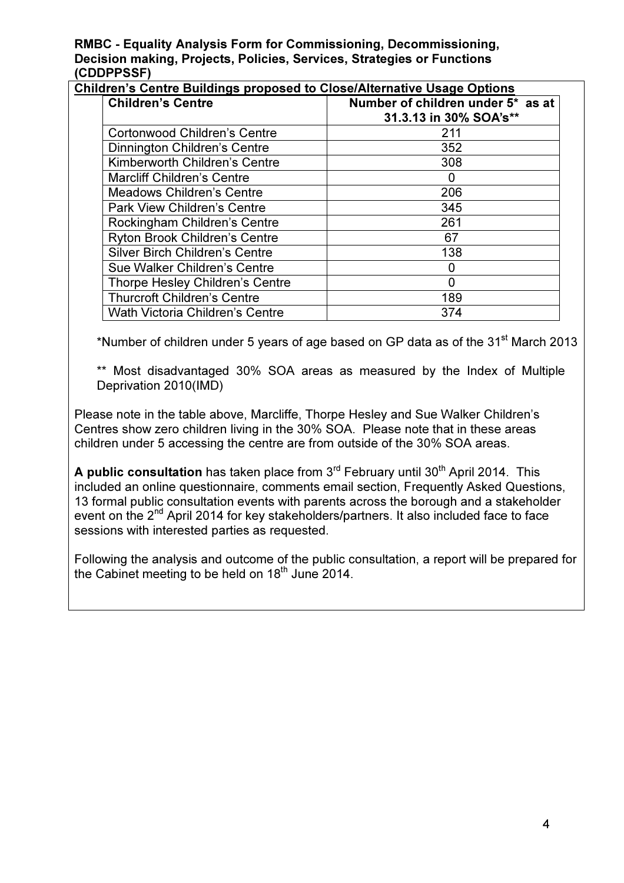RMBC - Equality Analysis Form for Commissioning, Decommissioning, Decision making, Projects, Policies, Services, Strategies or Functions (CDDPPSSF)

| <b>Children's Centre</b>               | Number of children under 5* as at<br>31.3.13 in 30% SOA's** |
|----------------------------------------|-------------------------------------------------------------|
| <b>Cortonwood Children's Centre</b>    | 211                                                         |
| Dinnington Children's Centre           | 352                                                         |
| Kimberworth Children's Centre          | 308                                                         |
| <b>Marcliff Children's Centre</b>      | O                                                           |
| <b>Meadows Children's Centre</b>       | 206                                                         |
| <b>Park View Children's Centre</b>     | 345                                                         |
| Rockingham Children's Centre           | 261                                                         |
| <b>Ryton Brook Children's Centre</b>   | 67                                                          |
| <b>Silver Birch Children's Centre</b>  | 138                                                         |
| Sue Walker Children's Centre           | 0                                                           |
| Thorpe Hesley Children's Centre        | 0                                                           |
| <b>Thurcroft Children's Centre</b>     | 189                                                         |
| <b>Wath Victoria Children's Centre</b> | 374                                                         |

\*Number of children under 5 years of age based on GP data as of the  $31<sup>st</sup>$  March 2013

\*\* Most disadvantaged 30% SOA areas as measured by the Index of Multiple Deprivation 2010(IMD)

Please note in the table above, Marcliffe, Thorpe Hesley and Sue Walker Children's Centres show zero children living in the 30% SOA. Please note that in these areas children under 5 accessing the centre are from outside of the 30% SOA areas.

A public consultation has taken place from  $3<sup>rd</sup>$  February until  $30<sup>th</sup>$  April 2014. This included an online questionnaire, comments email section, Frequently Asked Questions, 13 formal public consultation events with parents across the borough and a stakeholder event on the 2<sup>nd</sup> April 2014 for key stakeholders/partners. It also included face to face sessions with interested parties as requested.

Following the analysis and outcome of the public consultation, a report will be prepared for the Cabinet meeting to be held on  $18<sup>th</sup>$  June 2014.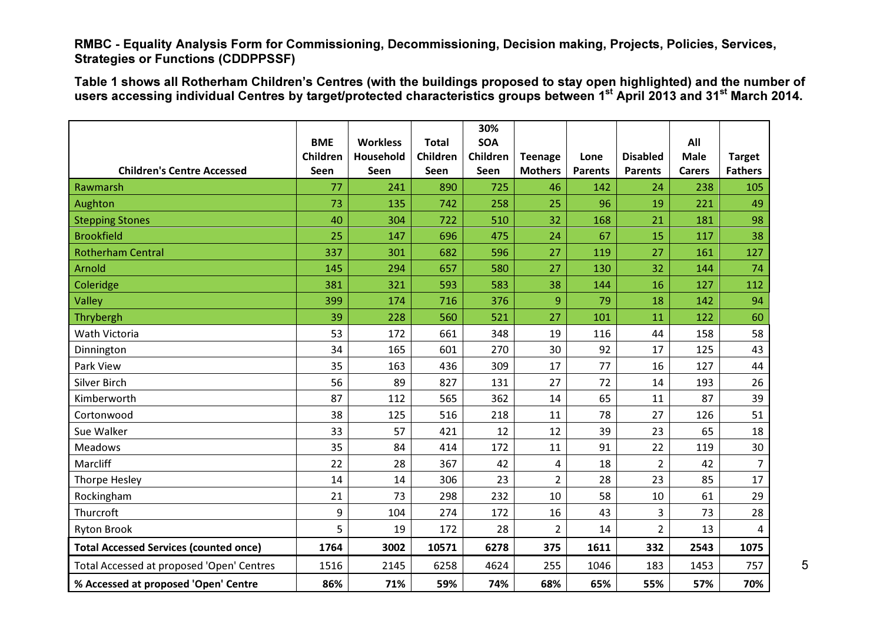Table 1 shows all Rotherham Children's Centres (with the buildings proposed to stay open highlighted) and the number of<br>users accessing individual Centres by target/protected characteristics groups between 1<sup>st</sup> April 2013

|                                               |            |                  |              | 30%        |                         |                |                 |               |                |
|-----------------------------------------------|------------|------------------|--------------|------------|-------------------------|----------------|-----------------|---------------|----------------|
|                                               | <b>BME</b> | <b>Workless</b>  | <b>Total</b> | <b>SOA</b> |                         |                |                 | All           |                |
|                                               | Children   | <b>Household</b> | Children     | Children   | <b>Teenage</b>          | Lone           | <b>Disabled</b> | <b>Male</b>   | <b>Target</b>  |
| <b>Children's Centre Accessed</b>             | Seen       | Seen             | Seen         | Seen       | <b>Mothers</b>          | <b>Parents</b> | <b>Parents</b>  | <b>Carers</b> | <b>Fathers</b> |
| Rawmarsh                                      | 77         | 241              | 890          | 725        | 46                      | 142            | 24              | 238           | 105            |
| Aughton                                       | 73         | 135              | 742          | 258        | 25                      | 96             | 19              | 221           | 49             |
| <b>Stepping Stones</b>                        | 40         | 304              | 722          | 510        | 32                      | 168            | 21              | 181           | 98             |
| <b>Brookfield</b>                             | 25         | 147              | 696          | 475        | 24                      | 67             | 15              | 117           | 38             |
| <b>Rotherham Central</b>                      | 337        | 301              | 682          | 596        | 27                      | 119            | 27              | 161           | 127            |
| Arnold                                        | 145        | 294              | 657          | 580        | 27                      | 130            | 32              | 144           | 74             |
| Coleridge                                     | 381        | 321              | 593          | 583        | 38                      | 144            | 16              | 127           | 112            |
| Valley                                        | 399        | 174              | 716          | 376        | 9                       | 79             | 18              | 142           | 94             |
| Thrybergh                                     | 39         | 228              | 560          | 521        | 27                      | 101            | 11              | 122           | 60             |
| Wath Victoria                                 | 53         | 172              | 661          | 348        | 19                      | 116            | 44              | 158           | 58             |
| Dinnington                                    | 34         | 165              | 601          | 270        | 30                      | 92             | 17              | 125           | 43             |
| Park View                                     | 35         | 163              | 436          | 309        | 17                      | 77             | 16              | 127           | 44             |
| <b>Silver Birch</b>                           | 56         | 89               | 827          | 131        | 27                      | 72             | 14              | 193           | 26             |
| Kimberworth                                   | 87         | 112              | 565          | 362        | 14                      | 65             | 11              | 87            | 39             |
| Cortonwood                                    | 38         | 125              | 516          | 218        | 11                      | 78             | 27              | 126           | 51             |
| Sue Walker                                    | 33         | 57               | 421          | 12         | 12                      | 39             | 23              | 65            | 18             |
| <b>Meadows</b>                                | 35         | 84               | 414          | 172        | 11                      | 91             | 22              | 119           | 30             |
| Marcliff                                      | 22         | 28               | 367          | 42         | $\overline{\mathbf{4}}$ | 18             | $\overline{2}$  | 42            | $\overline{7}$ |
| Thorpe Hesley                                 | 14         | 14               | 306          | 23         | $\overline{2}$          | 28             | 23              | 85            | 17             |
| Rockingham                                    | 21         | 73               | 298          | 232        | 10                      | 58             | 10              | 61            | 29             |
| Thurcroft                                     | 9          | 104              | 274          | 172        | 16                      | 43             | 3               | 73            | 28             |
| <b>Ryton Brook</b>                            | 5          | 19               | 172          | 28         | $\overline{2}$          | 14             | $\overline{2}$  | 13            | 4              |
| <b>Total Accessed Services (counted once)</b> | 1764       | 3002             | 10571        | 6278       | 375                     | 1611           | 332             | 2543          | 1075           |
| Total Accessed at proposed 'Open' Centres     | 1516       | 2145             | 6258         | 4624       | 255                     | 1046           | 183             | 1453          | 757            |
| % Accessed at proposed 'Open' Centre          | 86%        | 71%              | 59%          | 74%        | 68%                     | 65%            | 55%             | 57%           | 70%            |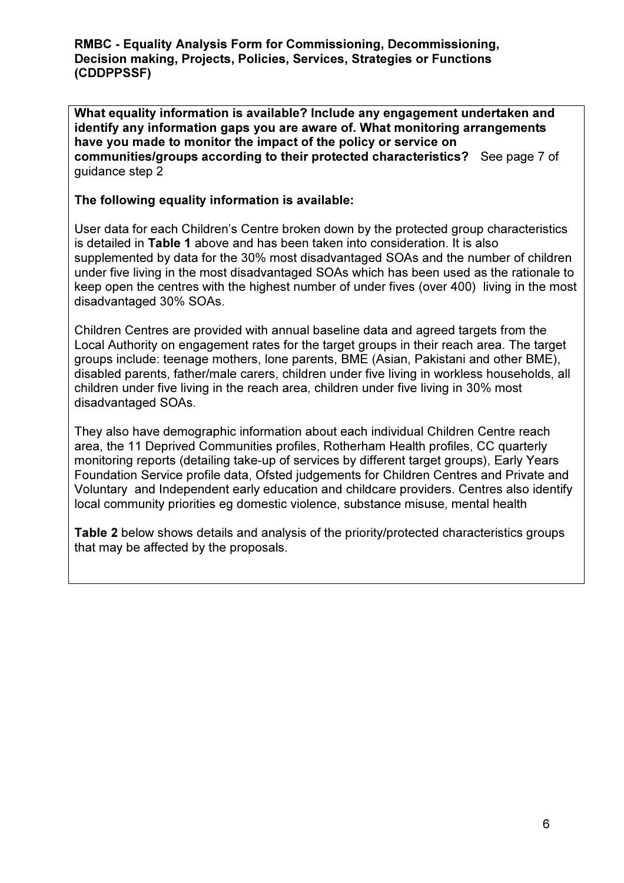What equality information is available? Include any engagement undertaken and identify any information gaps you are aware of. What monitoring arrangements have you made to monitor the impact of the policy or service on communities/groups according to their protected characteristics? See page 7 of guidance step 2

## The following equality information is available:

User data for each Children's Centre broken down by the protected group characteristics is detailed in Table 1 above and has been taken into consideration. It is also supplemented by data for the 30% most disadvantaged SOAs and the number of children under five living in the most disadvantaged SOAs which has been used as the rationale to keep open the centres with the highest number of under fives (over 400) living in the most disadvantaged 30% SOAs.

Children Centres are provided with annual baseline data and agreed targets from the Local Authority on engagement rates for the target groups in their reach area. The target groups include: teenage mothers, lone parents, BME (Asian, Pakistani and other BME), disabled parents, father/male carers, children under five living in workless households, all children under five living in the reach area, children under five living in 30% most disadvantaged SOAs.

They also have demographic information about each individual Children Centre reach area, the 11 Deprived Communities profiles, Rotherham Health profiles, CC quarterly monitoring reports (detailing take-up of services by different target groups), Early Years Foundation Service profile data, Ofsted judgements for Children Centres and Private and Voluntary and Independent early education and childcare providers. Centres also identify local community priorities eg domestic violence, substance misuse, mental health

Table 2 below shows details and analysis of the priority/protected characteristics groups that may be affected by the proposals.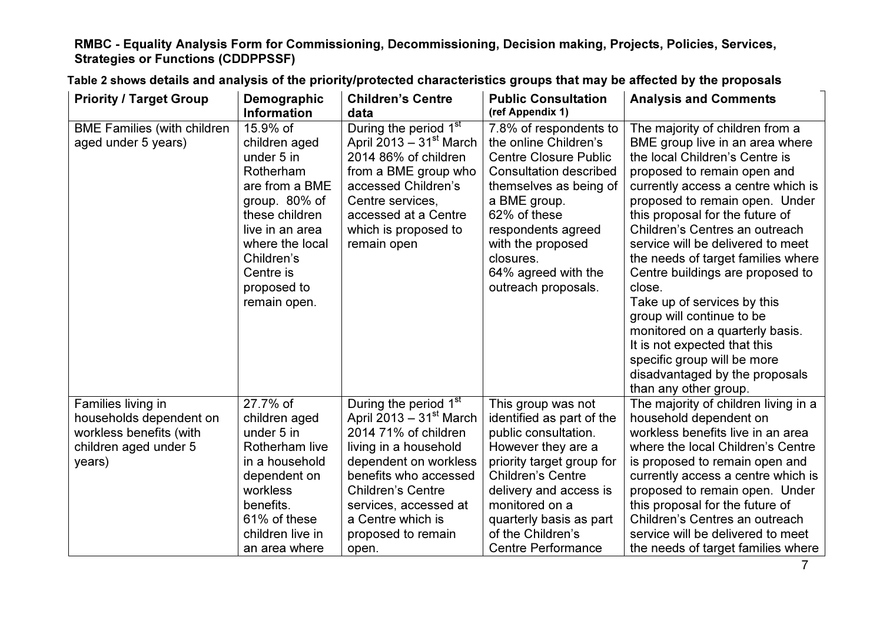| <b>Priority / Target Group</b>                                                                              | Demographic                                                                                                                                                                                               | <b>Children's Centre</b>                                                                                                                                                                                                                                                   | <b>Public Consultation</b>                                                                                                                                                                                                                                                       | <b>Analysis and Comments</b>                                                                                                                                                                                                                                                                                                                                                                                                                                                                                                                                                                                                       |
|-------------------------------------------------------------------------------------------------------------|-----------------------------------------------------------------------------------------------------------------------------------------------------------------------------------------------------------|----------------------------------------------------------------------------------------------------------------------------------------------------------------------------------------------------------------------------------------------------------------------------|----------------------------------------------------------------------------------------------------------------------------------------------------------------------------------------------------------------------------------------------------------------------------------|------------------------------------------------------------------------------------------------------------------------------------------------------------------------------------------------------------------------------------------------------------------------------------------------------------------------------------------------------------------------------------------------------------------------------------------------------------------------------------------------------------------------------------------------------------------------------------------------------------------------------------|
|                                                                                                             | <b>Information</b>                                                                                                                                                                                        | data                                                                                                                                                                                                                                                                       | (ref Appendix 1)                                                                                                                                                                                                                                                                 |                                                                                                                                                                                                                                                                                                                                                                                                                                                                                                                                                                                                                                    |
| <b>BME Families (with children)</b><br>aged under 5 years)                                                  | 15.9% of<br>children aged<br>under 5 in<br>Rotherham<br>are from a BME<br>group. 80% of<br>these children<br>live in an area<br>where the local<br>Children's<br>Centre is<br>proposed to<br>remain open. | During the period 1 <sup>st</sup><br>April 2013 – $31st$ March<br>2014 86% of children<br>from a BME group who<br>accessed Children's<br>Centre services,<br>accessed at a Centre<br>which is proposed to<br>remain open                                                   | 7.8% of respondents to<br>the online Children's<br><b>Centre Closure Public</b><br><b>Consultation described</b><br>themselves as being of<br>a BME group.<br>62% of these<br>respondents agreed<br>with the proposed<br>closures.<br>64% agreed with the<br>outreach proposals. | The majority of children from a<br>BME group live in an area where<br>the local Children's Centre is<br>proposed to remain open and<br>currently access a centre which is<br>proposed to remain open. Under<br>this proposal for the future of<br>Children's Centres an outreach<br>service will be delivered to meet<br>the needs of target families where<br>Centre buildings are proposed to<br>close.<br>Take up of services by this<br>group will continue to be<br>monitored on a quarterly basis.<br>It is not expected that this<br>specific group will be more<br>disadvantaged by the proposals<br>than any other group. |
| Families living in<br>households dependent on<br>workless benefits (with<br>children aged under 5<br>years) | 27.7% of<br>children aged<br>under 5 in<br>Rotherham live<br>in a household<br>dependent on<br>workless<br>benefits.<br>61% of these<br>children live in<br>an area where                                 | During the period 1 <sup>st</sup><br>April 2013 – $31st$ March<br>2014 71% of children<br>living in a household<br>dependent on workless<br>benefits who accessed<br><b>Children's Centre</b><br>services, accessed at<br>a Centre which is<br>proposed to remain<br>open. | This group was not<br>identified as part of the<br>public consultation.<br>However they are a<br>priority target group for<br><b>Children's Centre</b><br>delivery and access is<br>monitored on a<br>quarterly basis as part<br>of the Children's<br><b>Centre Performance</b>  | The majority of children living in a<br>household dependent on<br>workless benefits live in an area<br>where the local Children's Centre<br>is proposed to remain open and<br>currently access a centre which is<br>proposed to remain open. Under<br>this proposal for the future of<br>Children's Centres an outreach<br>service will be delivered to meet<br>the needs of target families where                                                                                                                                                                                                                                 |

Table 2 shows details and analysis of the priority/protected characteristics groups that may be affected by the proposals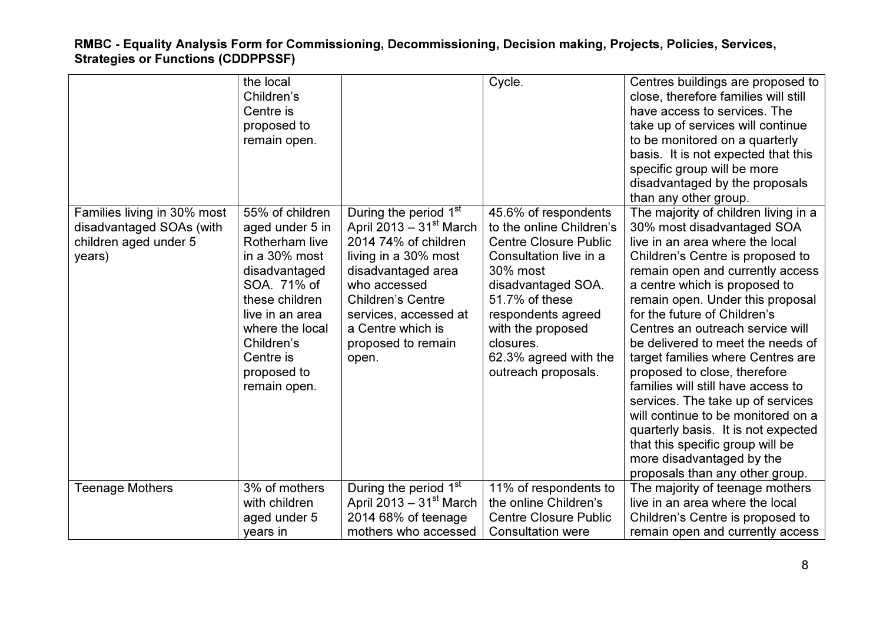|                                                                                            | the local<br>Children's<br>Centre is<br>proposed to<br>remain open.                                                                                                                                                     |                                                                                                                                                                                                                                                               | Cycle.                                                                                                                                                                                                                                                                 | Centres buildings are proposed to<br>close, therefore families will still<br>have access to services. The<br>take up of services will continue<br>to be monitored on a quarterly<br>basis. It is not expected that this<br>specific group will be more<br>disadvantaged by the proposals<br>than any other group.                                                                                                                                                                                                                                                                                                                                                                            |
|--------------------------------------------------------------------------------------------|-------------------------------------------------------------------------------------------------------------------------------------------------------------------------------------------------------------------------|---------------------------------------------------------------------------------------------------------------------------------------------------------------------------------------------------------------------------------------------------------------|------------------------------------------------------------------------------------------------------------------------------------------------------------------------------------------------------------------------------------------------------------------------|----------------------------------------------------------------------------------------------------------------------------------------------------------------------------------------------------------------------------------------------------------------------------------------------------------------------------------------------------------------------------------------------------------------------------------------------------------------------------------------------------------------------------------------------------------------------------------------------------------------------------------------------------------------------------------------------|
| Families living in 30% most<br>disadvantaged SOAs (with<br>children aged under 5<br>years) | 55% of children<br>aged under 5 in<br>Rotherham live<br>in a 30% most<br>disadvantaged<br>SOA. 71% of<br>these children<br>live in an area<br>where the local<br>Children's<br>Centre is<br>proposed to<br>remain open. | During the period 1 <sup>st</sup><br>April 2013 – $31st$ March<br>2014 74% of children<br>living in a 30% most<br>disadvantaged area<br>who accessed<br><b>Children's Centre</b><br>services, accessed at<br>a Centre which is<br>proposed to remain<br>open. | 45.6% of respondents<br>to the online Children's<br><b>Centre Closure Public</b><br>Consultation live in a<br>30% most<br>disadvantaged SOA.<br>51.7% of these<br>respondents agreed<br>with the proposed<br>closures.<br>62.3% agreed with the<br>outreach proposals. | The majority of children living in a<br>30% most disadvantaged SOA<br>live in an area where the local<br>Children's Centre is proposed to<br>remain open and currently access<br>a centre which is proposed to<br>remain open. Under this proposal<br>for the future of Children's<br>Centres an outreach service will<br>be delivered to meet the needs of<br>target families where Centres are<br>proposed to close, therefore<br>families will still have access to<br>services. The take up of services<br>will continue to be monitored on a<br>quarterly basis. It is not expected<br>that this specific group will be<br>more disadvantaged by the<br>proposals than any other group. |
| <b>Teenage Mothers</b>                                                                     | 3% of mothers                                                                                                                                                                                                           | During the period 1 <sup>st</sup>                                                                                                                                                                                                                             | 11% of respondents to                                                                                                                                                                                                                                                  | The majority of teenage mothers                                                                                                                                                                                                                                                                                                                                                                                                                                                                                                                                                                                                                                                              |
|                                                                                            | with children                                                                                                                                                                                                           | April 2013 – $31st$ March                                                                                                                                                                                                                                     | the online Children's                                                                                                                                                                                                                                                  | live in an area where the local                                                                                                                                                                                                                                                                                                                                                                                                                                                                                                                                                                                                                                                              |
|                                                                                            | aged under 5<br>years in                                                                                                                                                                                                | 2014 68% of teenage<br>mothers who accessed                                                                                                                                                                                                                   | <b>Centre Closure Public</b><br><b>Consultation were</b>                                                                                                                                                                                                               | Children's Centre is proposed to<br>remain open and currently access                                                                                                                                                                                                                                                                                                                                                                                                                                                                                                                                                                                                                         |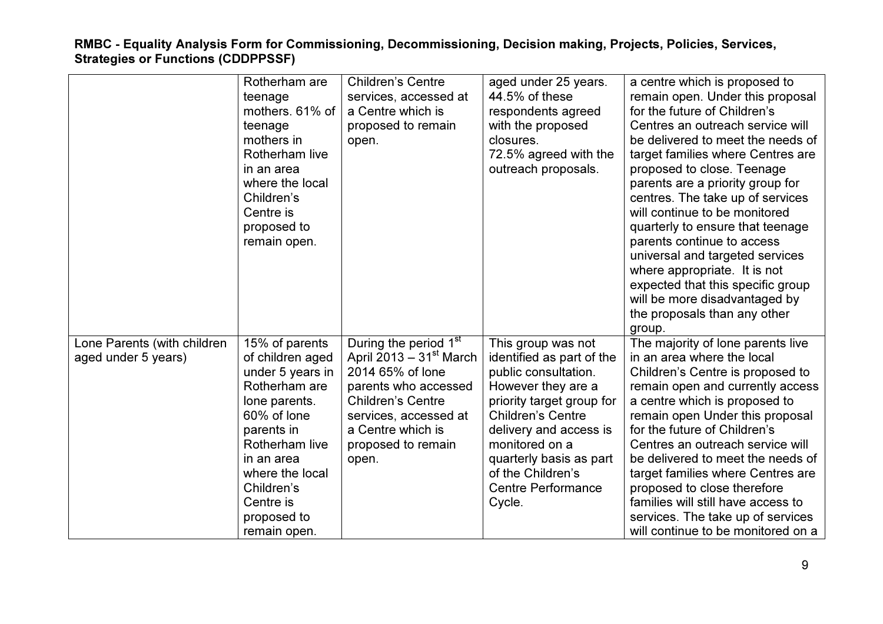| <b>Children's Centre</b><br>Rotherham are     | a centre which is proposed to<br>aged under 25 years.                                        |
|-----------------------------------------------|----------------------------------------------------------------------------------------------|
| teenage                                       | 44.5% of these<br>remain open. Under this proposal<br>services, accessed at                  |
| mothers. 61% of<br>a Centre which is          | for the future of Children's<br>respondents agreed                                           |
| teenage                                       | proposed to remain<br>with the proposed<br>Centres an outreach service will                  |
| mothers in<br>open.                           | be delivered to meet the needs of<br>closures.                                               |
| Rotherham live                                | 72.5% agreed with the<br>target families where Centres are                                   |
| in an area                                    | outreach proposals.<br>proposed to close. Teenage                                            |
| where the local                               | parents are a priority group for                                                             |
| Children's                                    | centres. The take up of services                                                             |
| Centre is                                     | will continue to be monitored                                                                |
| proposed to                                   | quarterly to ensure that teenage                                                             |
| remain open.                                  | parents continue to access                                                                   |
|                                               | universal and targeted services                                                              |
|                                               | where appropriate. It is not                                                                 |
|                                               | expected that this specific group                                                            |
|                                               | will be more disadvantaged by                                                                |
|                                               | the proposals than any other                                                                 |
|                                               | group.                                                                                       |
| Lone Parents (with children<br>15% of parents | During the period 1 <sup>st</sup><br>The majority of lone parents live<br>This group was not |
| of children aged<br>aged under 5 years)       | April 2013 – $31st$ March<br>identified as part of the<br>in an area where the local         |
| 2014 65% of lone<br>under 5 years in          | public consultation.<br>Children's Centre is proposed to                                     |
| Rotherham are                                 | parents who accessed<br>However they are a<br>remain open and currently access               |
| <b>Children's Centre</b><br>lone parents.     | priority target group for<br>a centre which is proposed to                                   |
| 60% of lone                                   | <b>Children's Centre</b><br>remain open Under this proposal<br>services, accessed at         |
| a Centre which is<br>parents in               | for the future of Children's<br>delivery and access is                                       |
| Rotherham live                                | proposed to remain<br>monitored on a<br>Centres an outreach service will                     |
| in an area<br>open.                           | quarterly basis as part<br>be delivered to meet the needs of                                 |
| where the local                               | of the Children's<br>target families where Centres are                                       |
| Children's                                    | <b>Centre Performance</b><br>proposed to close therefore                                     |
| Centre is                                     | families will still have access to<br>Cycle.                                                 |
| proposed to                                   |                                                                                              |
|                                               | services. The take up of services                                                            |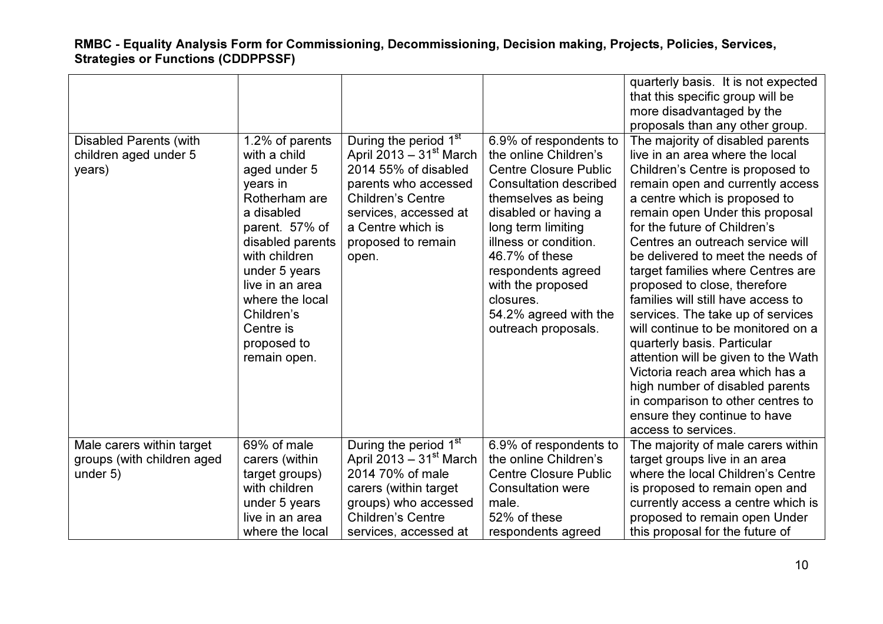|                               |                           |                                                  |                                             | quarterly basis. It is not expected<br>that this specific group will be<br>more disadvantaged by the |
|-------------------------------|---------------------------|--------------------------------------------------|---------------------------------------------|------------------------------------------------------------------------------------------------------|
|                               |                           |                                                  |                                             | proposals than any other group.                                                                      |
| <b>Disabled Parents (with</b> | 1.2% of parents           | During the period 1 <sup>st</sup>                | 6.9% of respondents to                      | The majority of disabled parents                                                                     |
| children aged under 5         | with a child              | April 2013 - $31st$ March                        | the online Children's                       | live in an area where the local                                                                      |
| years)                        | aged under 5              | 2014 55% of disabled                             | <b>Centre Closure Public</b>                | Children's Centre is proposed to                                                                     |
|                               | years in<br>Rotherham are | parents who accessed<br><b>Children's Centre</b> | <b>Consultation described</b>               | remain open and currently access                                                                     |
|                               | a disabled                | services, accessed at                            | themselves as being<br>disabled or having a | a centre which is proposed to<br>remain open Under this proposal                                     |
|                               | parent. 57% of            | a Centre which is                                | long term limiting                          | for the future of Children's                                                                         |
|                               | disabled parents          | proposed to remain                               | illness or condition.                       | Centres an outreach service will                                                                     |
|                               | with children             | open.                                            | 46.7% of these                              | be delivered to meet the needs of                                                                    |
|                               | under 5 years             |                                                  | respondents agreed                          | target families where Centres are                                                                    |
|                               | live in an area           |                                                  | with the proposed                           | proposed to close, therefore                                                                         |
|                               | where the local           |                                                  | closures.                                   | families will still have access to                                                                   |
|                               | Children's                |                                                  | 54.2% agreed with the                       | services. The take up of services                                                                    |
|                               | Centre is                 |                                                  | outreach proposals.                         | will continue to be monitored on a                                                                   |
|                               | proposed to               |                                                  |                                             | quarterly basis. Particular                                                                          |
|                               | remain open.              |                                                  |                                             | attention will be given to the Wath<br>Victoria reach area which has a                               |
|                               |                           |                                                  |                                             | high number of disabled parents                                                                      |
|                               |                           |                                                  |                                             | in comparison to other centres to                                                                    |
|                               |                           |                                                  |                                             | ensure they continue to have                                                                         |
|                               |                           |                                                  |                                             | access to services.                                                                                  |
| Male carers within target     | 69% of male               | During the period 1 <sup>st</sup>                | 6.9% of respondents to                      | The majority of male carers within                                                                   |
| groups (with children aged    | carers (within            | April 2013 – $31st$ March                        | the online Children's                       | target groups live in an area                                                                        |
| under 5)                      | target groups)            | 2014 70% of male                                 | <b>Centre Closure Public</b>                | where the local Children's Centre                                                                    |
|                               | with children             | carers (within target                            | <b>Consultation were</b>                    | is proposed to remain open and                                                                       |
|                               | under 5 years             | groups) who accessed                             | male.                                       | currently access a centre which is                                                                   |
|                               | live in an area           | <b>Children's Centre</b>                         | 52% of these                                | proposed to remain open Under                                                                        |
|                               | where the local           | services, accessed at                            | respondents agreed                          | this proposal for the future of                                                                      |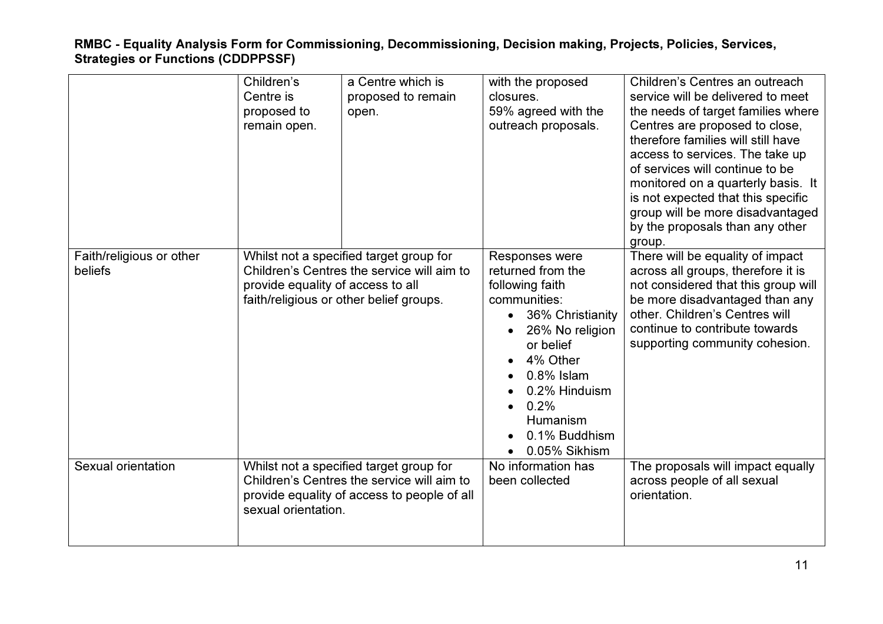|                                     | Children's<br>Centre is<br>proposed to<br>remain open. | a Centre which is<br>proposed to remain<br>open.                                                                                     | with the proposed<br>closures.<br>59% agreed with the<br>outreach proposals.                                                                                                                                                   | Children's Centres an outreach<br>service will be delivered to meet<br>the needs of target families where<br>Centres are proposed to close,<br>therefore families will still have<br>access to services. The take up<br>of services will continue to be<br>monitored on a quarterly basis. It<br>is not expected that this specific<br>group will be more disadvantaged<br>by the proposals than any other<br>group. |
|-------------------------------------|--------------------------------------------------------|--------------------------------------------------------------------------------------------------------------------------------------|--------------------------------------------------------------------------------------------------------------------------------------------------------------------------------------------------------------------------------|----------------------------------------------------------------------------------------------------------------------------------------------------------------------------------------------------------------------------------------------------------------------------------------------------------------------------------------------------------------------------------------------------------------------|
| Faith/religious or other<br>beliefs | provide equality of access to all                      | Whilst not a specified target group for<br>Children's Centres the service will aim to<br>faith/religious or other belief groups.     | Responses were<br>returned from the<br>following faith<br>communities:<br>36% Christianity<br>26% No religion<br>or belief<br>4% Other<br>$0.8\%$ Islam<br>0.2% Hinduism<br>0.2%<br>Humanism<br>0.1% Buddhism<br>0.05% Sikhism | There will be equality of impact<br>across all groups, therefore it is<br>not considered that this group will<br>be more disadvantaged than any<br>other. Children's Centres will<br>continue to contribute towards<br>supporting community cohesion.                                                                                                                                                                |
| Sexual orientation                  | sexual orientation.                                    | Whilst not a specified target group for<br>Children's Centres the service will aim to<br>provide equality of access to people of all | No information has<br>been collected                                                                                                                                                                                           | The proposals will impact equally<br>across people of all sexual<br>orientation.                                                                                                                                                                                                                                                                                                                                     |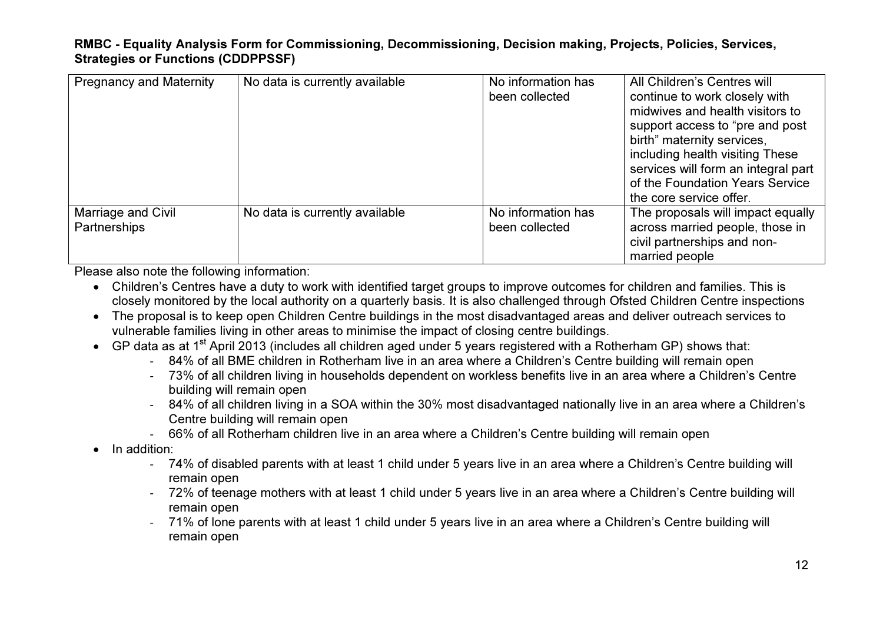| <b>Pregnancy and Maternity</b>     | No data is currently available | No information has<br>been collected | All Children's Centres will<br>continue to work closely with<br>midwives and health visitors to<br>support access to "pre and post"<br>birth" maternity services,<br>including health visiting These<br>services will form an integral part<br>of the Foundation Years Service<br>the core service offer. |
|------------------------------------|--------------------------------|--------------------------------------|-----------------------------------------------------------------------------------------------------------------------------------------------------------------------------------------------------------------------------------------------------------------------------------------------------------|
| Marriage and Civil<br>Partnerships | No data is currently available | No information has<br>been collected | The proposals will impact equally<br>across married people, those in<br>civil partnerships and non-<br>married people                                                                                                                                                                                     |

Please also note the following information:

- Children's Centres have a duty to work with identified target groups to improve outcomes for children and families. This is closely monitored by the local authority on a quarterly basis. It is also challenged through Ofsted Children Centre inspections
- The proposal is to keep open Children Centre buildings in the most disadvantaged areas and deliver outreach services to vulnerable families living in other areas to minimise the impact of closing centre buildings.
- $\bullet$  GP data as at 1<sup>st</sup> April 2013 (includes all children aged under 5 years registered with a Rotherham GP) shows that:
	- 84% of all BME children in Rotherham live in an area where a Children's Centre building will remain open
	- 73% of all children living in households dependent on workless benefits live in an area where a Children's Centre building will remain open
	- 84% of all children living in a SOA within the 30% most disadvantaged nationally live in an area where a Children's Centre building will remain open
	- 66% of all Rotherham children live in an area where a Children's Centre building will remain open
- In addition:
	- 74% of disabled parents with at least 1 child under 5 years live in an area where a Children's Centre building will remain open
	- 72% of teenage mothers with at least 1 child under 5 years live in an area where a Children's Centre building will remain open
	- 71% of lone parents with at least 1 child under 5 years live in an area where a Children's Centre building will remain open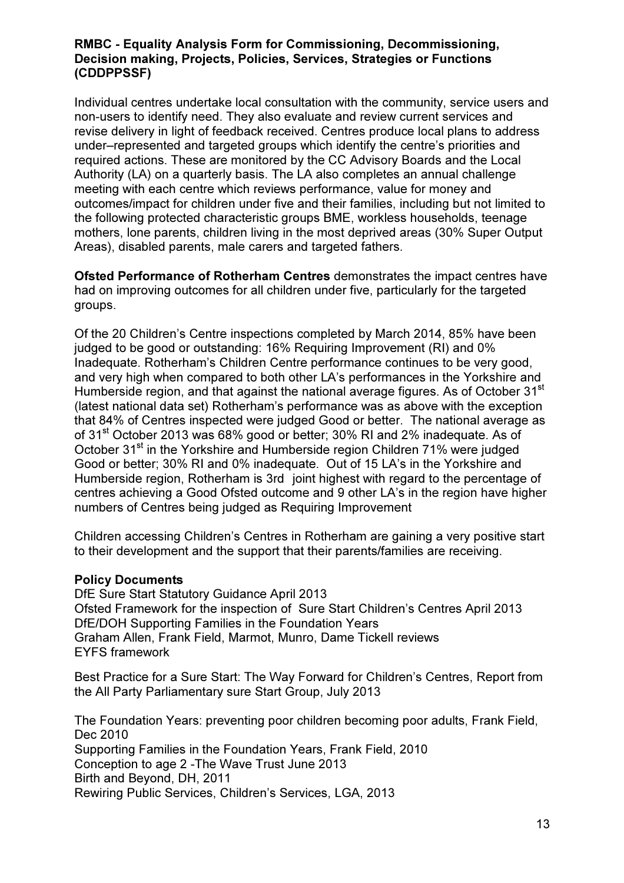Individual centres undertake local consultation with the community, service users and non-users to identify need. They also evaluate and review current services and revise delivery in light of feedback received. Centres produce local plans to address under–represented and targeted groups which identify the centre's priorities and required actions. These are monitored by the CC Advisory Boards and the Local Authority (LA) on a quarterly basis. The LA also completes an annual challenge meeting with each centre which reviews performance, value for money and outcomes/impact for children under five and their families, including but not limited to the following protected characteristic groups BME, workless households, teenage mothers, lone parents, children living in the most deprived areas (30% Super Output Areas), disabled parents, male carers and targeted fathers.

Ofsted Performance of Rotherham Centres demonstrates the impact centres have had on improving outcomes for all children under five, particularly for the targeted groups.

Of the 20 Children's Centre inspections completed by March 2014, 85% have been judged to be good or outstanding: 16% Requiring Improvement (RI) and 0% Inadequate. Rotherham's Children Centre performance continues to be very good, and very high when compared to both other LA's performances in the Yorkshire and Humberside region, and that against the national average figures. As of October 31<sup>st</sup> (latest national data set) Rotherham's performance was as above with the exception that 84% of Centres inspected were judged Good or better. The national average as of 31<sup>st</sup> October 2013 was 68% good or better; 30% RI and 2% inadequate. As of October 31<sup>st</sup> in the Yorkshire and Humberside region Children 71% were judged Good or better; 30% RI and 0% inadequate. Out of 15 LA's in the Yorkshire and Humberside region, Rotherham is 3rd joint highest with regard to the percentage of centres achieving a Good Ofsted outcome and 9 other LA's in the region have higher numbers of Centres being judged as Requiring Improvement

Children accessing Children's Centres in Rotherham are gaining a very positive start to their development and the support that their parents/families are receiving.

#### Policy Documents

DfE Sure Start Statutory Guidance April 2013 Ofsted Framework for the inspection of Sure Start Children's Centres April 2013 DfE/DOH Supporting Families in the Foundation Years Graham Allen, Frank Field, Marmot, Munro, Dame Tickell reviews EYFS framework

Best Practice for a Sure Start: The Way Forward for Children's Centres, Report from the All Party Parliamentary sure Start Group, July 2013

The Foundation Years: preventing poor children becoming poor adults, Frank Field, Dec 2010 Supporting Families in the Foundation Years, Frank Field, 2010 Conception to age 2 -The Wave Trust June 2013 Birth and Beyond, DH, 2011 Rewiring Public Services, Children's Services, LGA, 2013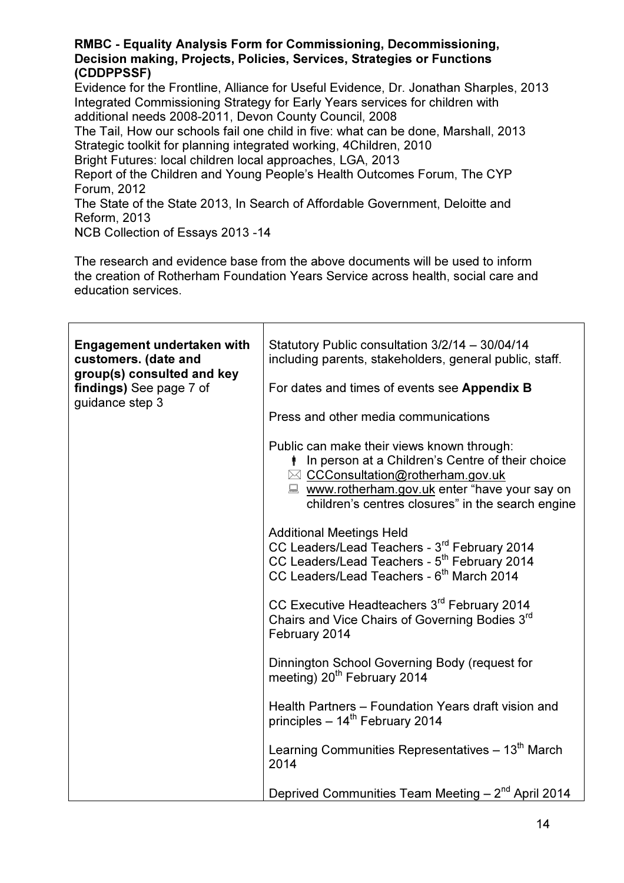Evidence for the Frontline, Alliance for Useful Evidence, Dr. Jonathan Sharples, 2013 Integrated Commissioning Strategy for Early Years services for children with additional needs 2008-2011, Devon County Council, 2008

The Tail, How our schools fail one child in five: what can be done, Marshall, 2013 Strategic toolkit for planning integrated working, 4Children, 2010

Bright Futures: local children local approaches, LGA, 2013

Report of the Children and Young People's Health Outcomes Forum, The CYP Forum, 2012

The State of the State 2013, In Search of Affordable Government, Deloitte and Reform, 2013

NCB Collection of Essays 2013 -14

The research and evidence base from the above documents will be used to inform the creation of Rotherham Foundation Years Service across health, social care and education services.

| <b>Engagement undertaken with</b><br>customers. (date and<br>group(s) consulted and key<br>findings) See page 7 of<br>guidance step 3 | Statutory Public consultation 3/2/14 - 30/04/14<br>including parents, stakeholders, general public, staff.                                                                                                                                          |
|---------------------------------------------------------------------------------------------------------------------------------------|-----------------------------------------------------------------------------------------------------------------------------------------------------------------------------------------------------------------------------------------------------|
|                                                                                                                                       | For dates and times of events see Appendix B                                                                                                                                                                                                        |
|                                                                                                                                       | Press and other media communications                                                                                                                                                                                                                |
|                                                                                                                                       | Public can make their views known through:<br><i>I</i> In person at a Children's Centre of their choice<br>⊠ CCConsultation@rotherham.gov.uk<br>■ www.rotherham.gov.uk enter "have your say on<br>children's centres closures" in the search engine |
|                                                                                                                                       | <b>Additional Meetings Held</b><br>CC Leaders/Lead Teachers - 3rd February 2014<br>CC Leaders/Lead Teachers - 5 <sup>th</sup> February 2014<br>CC Leaders/Lead Teachers - 6 <sup>th</sup> March 2014                                                |
|                                                                                                                                       | CC Executive Headteachers 3 <sup>rd</sup> February 2014<br>Chairs and Vice Chairs of Governing Bodies 3rd<br>February 2014                                                                                                                          |
|                                                                                                                                       | Dinnington School Governing Body (request for<br>meeting) 20 <sup>th</sup> February 2014                                                                                                                                                            |
|                                                                                                                                       | Health Partners - Foundation Years draft vision and<br>principles - 14 <sup>th</sup> February 2014                                                                                                                                                  |
|                                                                                                                                       | Learning Communities Representatives – 13 <sup>th</sup> March<br>2014                                                                                                                                                                               |
|                                                                                                                                       | Deprived Communities Team Meeting - 2 <sup>nd</sup> April 2014                                                                                                                                                                                      |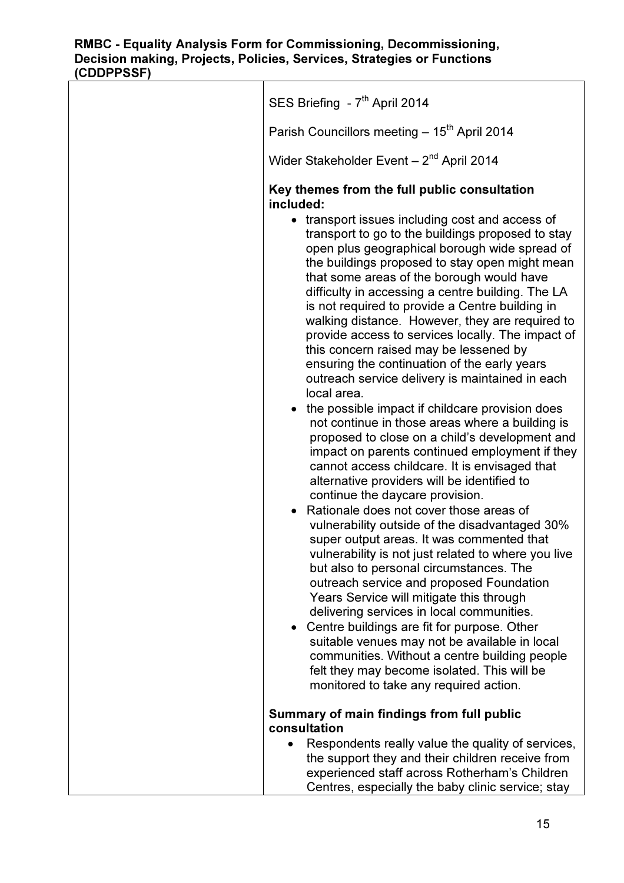| SES Briefing - 7 <sup>th</sup> April 2014                                                                                                                                                                                                                                                                                                                                                                                                                                                                                                                                                                                                                                                                                                                                                                                                                                                                                                                  |  |  |
|------------------------------------------------------------------------------------------------------------------------------------------------------------------------------------------------------------------------------------------------------------------------------------------------------------------------------------------------------------------------------------------------------------------------------------------------------------------------------------------------------------------------------------------------------------------------------------------------------------------------------------------------------------------------------------------------------------------------------------------------------------------------------------------------------------------------------------------------------------------------------------------------------------------------------------------------------------|--|--|
| Parish Councillors meeting - 15 <sup>th</sup> April 2014                                                                                                                                                                                                                                                                                                                                                                                                                                                                                                                                                                                                                                                                                                                                                                                                                                                                                                   |  |  |
| Wider Stakeholder Event - 2 <sup>nd</sup> April 2014                                                                                                                                                                                                                                                                                                                                                                                                                                                                                                                                                                                                                                                                                                                                                                                                                                                                                                       |  |  |
| Key themes from the full public consultation<br>included:<br>• transport issues including cost and access of<br>transport to go to the buildings proposed to stay<br>open plus geographical borough wide spread of<br>the buildings proposed to stay open might mean<br>that some areas of the borough would have<br>difficulty in accessing a centre building. The LA<br>is not required to provide a Centre building in<br>walking distance. However, they are required to<br>provide access to services locally. The impact of<br>this concern raised may be lessened by<br>ensuring the continuation of the early years<br>outreach service delivery is maintained in each<br>local area.<br>• the possible impact if childcare provision does<br>not continue in those areas where a building is<br>proposed to close on a child's development and<br>impact on parents continued employment if they<br>cannot access childcare. It is envisaged that |  |  |
| alternative providers will be identified to<br>continue the daycare provision.<br>Rationale does not cover those areas of<br>vulnerability outside of the disadvantaged 30%<br>super output areas. It was commented that<br>vulnerability is not just related to where you live<br>but also to personal circumstances. The<br>outreach service and proposed Foundation<br>Years Service will mitigate this through<br>delivering services in local communities.<br>Centre buildings are fit for purpose. Other<br>$\bullet$<br>suitable venues may not be available in local<br>communities. Without a centre building people<br>felt they may become isolated. This will be<br>monitored to take any required action.                                                                                                                                                                                                                                     |  |  |
| Summary of main findings from full public<br>consultation                                                                                                                                                                                                                                                                                                                                                                                                                                                                                                                                                                                                                                                                                                                                                                                                                                                                                                  |  |  |
| Respondents really value the quality of services,<br>the support they and their children receive from<br>experienced staff across Rotherham's Children<br>Centres, especially the baby clinic service; stay                                                                                                                                                                                                                                                                                                                                                                                                                                                                                                                                                                                                                                                                                                                                                |  |  |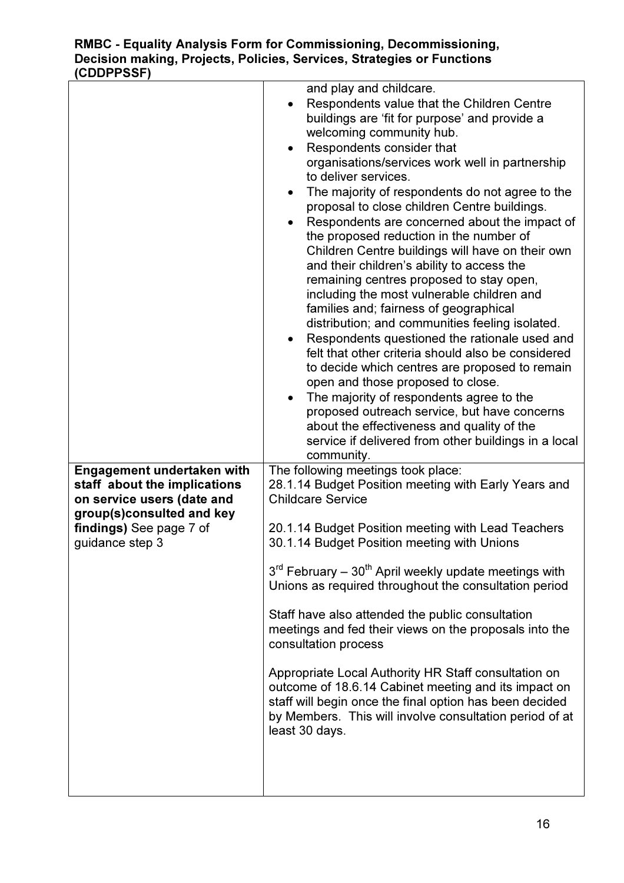|                                                                                                                                                                            | and play and childcare.<br>Respondents value that the Children Centre<br>buildings are 'fit for purpose' and provide a<br>welcoming community hub.<br>Respondents consider that<br>organisations/services work well in partnership<br>to deliver services.<br>The majority of respondents do not agree to the<br>proposal to close children Centre buildings.<br>Respondents are concerned about the impact of<br>the proposed reduction in the number of<br>Children Centre buildings will have on their own<br>and their children's ability to access the<br>remaining centres proposed to stay open,<br>including the most vulnerable children and<br>families and; fairness of geographical<br>distribution; and communities feeling isolated.<br>Respondents questioned the rationale used and<br>felt that other criteria should also be considered<br>to decide which centres are proposed to remain<br>open and those proposed to close.<br>The majority of respondents agree to the<br>$\bullet$<br>proposed outreach service, but have concerns<br>about the effectiveness and quality of the<br>service if delivered from other buildings in a local |
|----------------------------------------------------------------------------------------------------------------------------------------------------------------------------|-----------------------------------------------------------------------------------------------------------------------------------------------------------------------------------------------------------------------------------------------------------------------------------------------------------------------------------------------------------------------------------------------------------------------------------------------------------------------------------------------------------------------------------------------------------------------------------------------------------------------------------------------------------------------------------------------------------------------------------------------------------------------------------------------------------------------------------------------------------------------------------------------------------------------------------------------------------------------------------------------------------------------------------------------------------------------------------------------------------------------------------------------------------------|
| <b>Engagement undertaken with</b><br>staff about the implications<br>on service users (date and<br>group(s)consulted and key<br>findings) See page 7 of<br>guidance step 3 | community.<br>The following meetings took place:<br>28.1.14 Budget Position meeting with Early Years and<br><b>Childcare Service</b><br>20.1.14 Budget Position meeting with Lead Teachers<br>30.1.14 Budget Position meeting with Unions<br>3 <sup>rd</sup> February - 30 <sup>th</sup> April weekly update meetings with<br>Unions as required throughout the consultation period<br>Staff have also attended the public consultation<br>meetings and fed their views on the proposals into the<br>consultation process<br>Appropriate Local Authority HR Staff consultation on<br>outcome of 18.6.14 Cabinet meeting and its impact on<br>staff will begin once the final option has been decided<br>by Members. This will involve consultation period of at<br>least 30 days.                                                                                                                                                                                                                                                                                                                                                                               |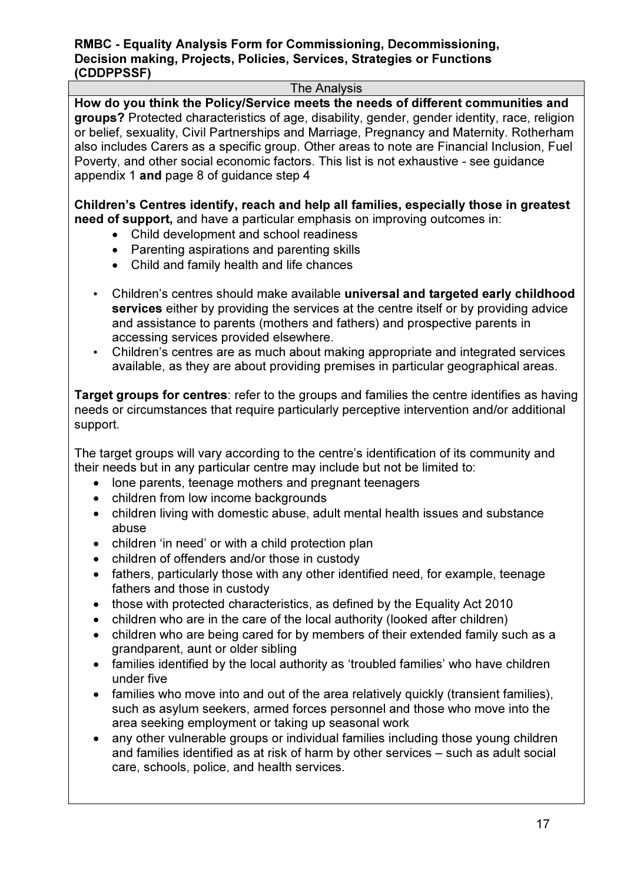#### The Analysis

How do you think the Policy/Service meets the needs of different communities and groups? Protected characteristics of age, disability, gender, gender identity, race, religion or belief, sexuality, Civil Partnerships and Marriage, Pregnancy and Maternity. Rotherham also includes Carers as a specific group. Other areas to note are Financial Inclusion, Fuel Poverty, and other social economic factors. This list is not exhaustive - see guidance appendix 1 and page 8 of guidance step 4

Children's Centres identify, reach and help all families, especially those in greatest need of support, and have a particular emphasis on improving outcomes in:

- Child development and school readiness
- Parenting aspirations and parenting skills
- Child and family health and life chances
- Children's centres should make available universal and targeted early childhood services either by providing the services at the centre itself or by providing advice and assistance to parents (mothers and fathers) and prospective parents in accessing services provided elsewhere.
- Children's centres are as much about making appropriate and integrated services available, as they are about providing premises in particular geographical areas.

Target groups for centres: refer to the groups and families the centre identifies as having needs or circumstances that require particularly perceptive intervention and/or additional support.

The target groups will vary according to the centre's identification of its community and their needs but in any particular centre may include but not be limited to:

- lone parents, teenage mothers and pregnant teenagers
- children from low income backgrounds
- children living with domestic abuse, adult mental health issues and substance abuse
- children 'in need' or with a child protection plan
- children of offenders and/or those in custody
- fathers, particularly those with any other identified need, for example, teenage fathers and those in custody
- those with protected characteristics, as defined by the Equality Act 2010
- children who are in the care of the local authority (looked after children)
- children who are being cared for by members of their extended family such as a grandparent, aunt or older sibling
- families identified by the local authority as 'troubled families' who have children under five
- families who move into and out of the area relatively quickly (transient families), such as asylum seekers, armed forces personnel and those who move into the area seeking employment or taking up seasonal work
- any other vulnerable groups or individual families including those young children and families identified as at risk of harm by other services – such as adult social care, schools, police, and health services.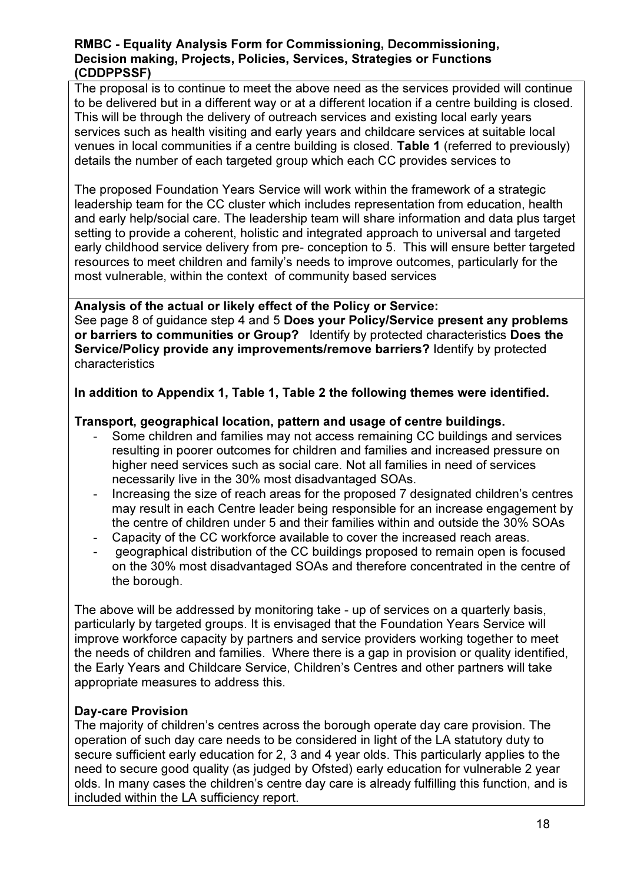The proposal is to continue to meet the above need as the services provided will continue to be delivered but in a different way or at a different location if a centre building is closed. This will be through the delivery of outreach services and existing local early years services such as health visiting and early years and childcare services at suitable local venues in local communities if a centre building is closed. Table 1 (referred to previously) details the number of each targeted group which each CC provides services to

The proposed Foundation Years Service will work within the framework of a strategic leadership team for the CC cluster which includes representation from education, health and early help/social care. The leadership team will share information and data plus target setting to provide a coherent, holistic and integrated approach to universal and targeted early childhood service delivery from pre- conception to 5. This will ensure better targeted resources to meet children and family's needs to improve outcomes, particularly for the most vulnerable, within the context of community based services

Analysis of the actual or likely effect of the Policy or Service: See page 8 of guidance step 4 and 5 Does your Policy/Service present any problems or barriers to communities or Group? Identify by protected characteristics Does the Service/Policy provide any improvements/remove barriers? Identify by protected characteristics

# In addition to Appendix 1, Table 1, Table 2 the following themes were identified.

# Transport, geographical location, pattern and usage of centre buildings.

- Some children and families may not access remaining CC buildings and services resulting in poorer outcomes for children and families and increased pressure on higher need services such as social care. Not all families in need of services necessarily live in the 30% most disadvantaged SOAs.
- Increasing the size of reach areas for the proposed 7 designated children's centres may result in each Centre leader being responsible for an increase engagement by the centre of children under 5 and their families within and outside the 30% SOAs
- Capacity of the CC workforce available to cover the increased reach areas.
- geographical distribution of the CC buildings proposed to remain open is focused on the 30% most disadvantaged SOAs and therefore concentrated in the centre of the borough.

The above will be addressed by monitoring take - up of services on a quarterly basis, particularly by targeted groups. It is envisaged that the Foundation Years Service will improve workforce capacity by partners and service providers working together to meet the needs of children and families. Where there is a gap in provision or quality identified, the Early Years and Childcare Service, Children's Centres and other partners will take appropriate measures to address this.

# Day-care Provision

The majority of children's centres across the borough operate day care provision. The operation of such day care needs to be considered in light of the LA statutory duty to secure sufficient early education for 2, 3 and 4 year olds. This particularly applies to the need to secure good quality (as judged by Ofsted) early education for vulnerable 2 year olds. In many cases the children's centre day care is already fulfilling this function, and is included within the LA sufficiency report.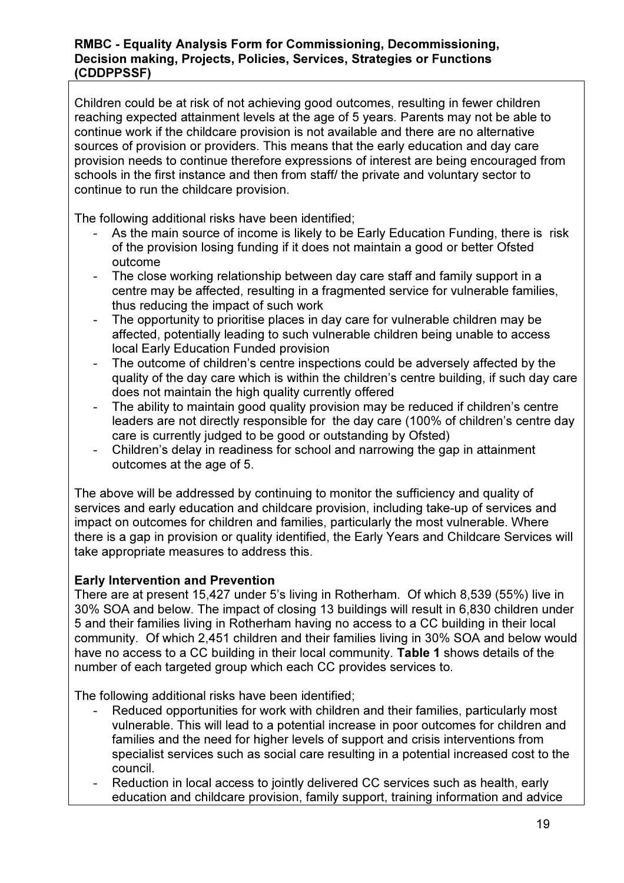Children could be at risk of not achieving good outcomes, resulting in fewer children reaching expected attainment levels at the age of 5 years. Parents may not be able to continue work if the childcare provision is not available and there are no alternative sources of provision or providers. This means that the early education and day care provision needs to continue therefore expressions of interest are being encouraged from schools in the first instance and then from staff/ the private and voluntary sector to continue to run the childcare provision.

The following additional risks have been identified;

- As the main source of income is likely to be Early Education Funding, there is risk of the provision losing funding if it does not maintain a good or better Ofsted outcome
- The close working relationship between day care staff and family support in a centre may be affected, resulting in a fragmented service for vulnerable families, thus reducing the impact of such work
- The opportunity to prioritise places in day care for vulnerable children may be affected, potentially leading to such vulnerable children being unable to access local Early Education Funded provision
- The outcome of children's centre inspections could be adversely affected by the quality of the day care which is within the children's centre building, if such day care does not maintain the high quality currently offered
- The ability to maintain good quality provision may be reduced if children's centre leaders are not directly responsible for the day care (100% of children's centre day care is currently judged to be good or outstanding by Ofsted)
- Children's delay in readiness for school and narrowing the gap in attainment outcomes at the age of 5.

The above will be addressed by continuing to monitor the sufficiency and quality of services and early education and childcare provision, including take-up of services and impact on outcomes for children and families, particularly the most vulnerable. Where there is a gap in provision or quality identified, the Early Years and Childcare Services will take appropriate measures to address this.

# Early Intervention and Prevention

There are at present 15,427 under 5's living in Rotherham. Of which 8,539 (55%) live in 30% SOA and below. The impact of closing 13 buildings will result in 6,830 children under 5 and their families living in Rotherham having no access to a CC building in their local community. Of which 2,451 children and their families living in 30% SOA and below would have no access to a CC building in their local community. Table 1 shows details of the number of each targeted group which each CC provides services to.

The following additional risks have been identified;

- Reduced opportunities for work with children and their families, particularly most vulnerable. This will lead to a potential increase in poor outcomes for children and families and the need for higher levels of support and crisis interventions from specialist services such as social care resulting in a potential increased cost to the council.
- Reduction in local access to jointly delivered CC services such as health, early education and childcare provision, family support, training information and advice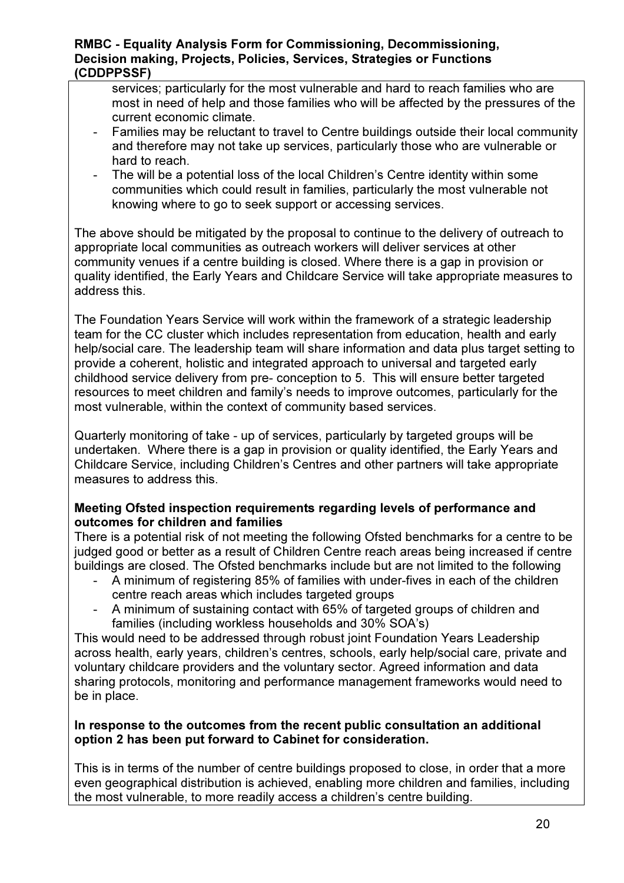services; particularly for the most vulnerable and hard to reach families who are most in need of help and those families who will be affected by the pressures of the current economic climate.

- Families may be reluctant to travel to Centre buildings outside their local community and therefore may not take up services, particularly those who are vulnerable or hard to reach.
- The will be a potential loss of the local Children's Centre identity within some communities which could result in families, particularly the most vulnerable not knowing where to go to seek support or accessing services.

The above should be mitigated by the proposal to continue to the delivery of outreach to appropriate local communities as outreach workers will deliver services at other community venues if a centre building is closed. Where there is a gap in provision or quality identified, the Early Years and Childcare Service will take appropriate measures to address this.

The Foundation Years Service will work within the framework of a strategic leadership team for the CC cluster which includes representation from education, health and early help/social care. The leadership team will share information and data plus target setting to provide a coherent, holistic and integrated approach to universal and targeted early childhood service delivery from pre- conception to 5. This will ensure better targeted resources to meet children and family's needs to improve outcomes, particularly for the most vulnerable, within the context of community based services.

Quarterly monitoring of take - up of services, particularly by targeted groups will be undertaken. Where there is a gap in provision or quality identified, the Early Years and Childcare Service, including Children's Centres and other partners will take appropriate measures to address this.

# Meeting Ofsted inspection requirements regarding levels of performance and outcomes for children and families

There is a potential risk of not meeting the following Ofsted benchmarks for a centre to be judged good or better as a result of Children Centre reach areas being increased if centre buildings are closed. The Ofsted benchmarks include but are not limited to the following

- A minimum of registering 85% of families with under-fives in each of the children centre reach areas which includes targeted groups
- A minimum of sustaining contact with 65% of targeted groups of children and families (including workless households and 30% SOA's)

This would need to be addressed through robust joint Foundation Years Leadership across health, early years, children's centres, schools, early help/social care, private and voluntary childcare providers and the voluntary sector. Agreed information and data sharing protocols, monitoring and performance management frameworks would need to be in place.

# In response to the outcomes from the recent public consultation an additional option 2 has been put forward to Cabinet for consideration.

This is in terms of the number of centre buildings proposed to close, in order that a more even geographical distribution is achieved, enabling more children and families, including the most vulnerable, to more readily access a children's centre building.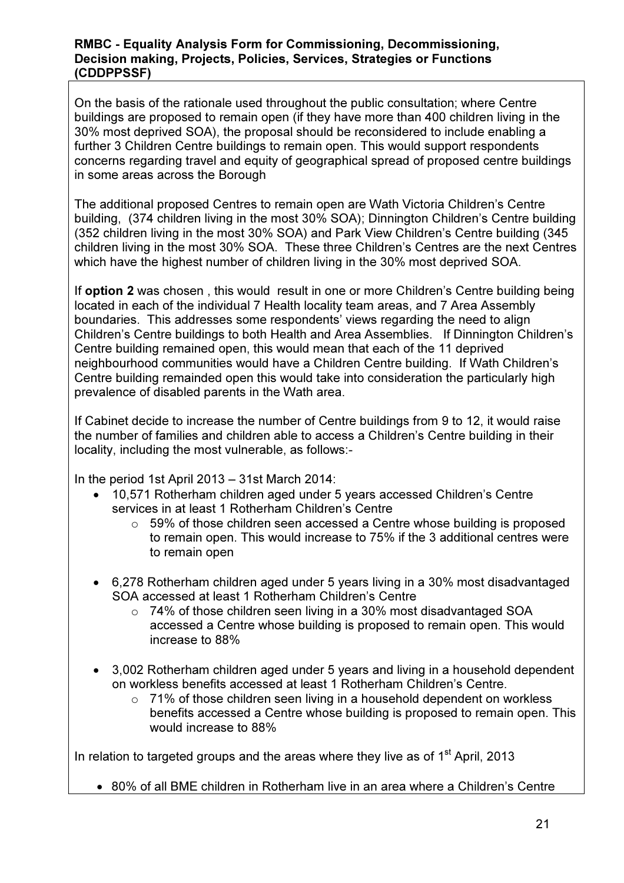On the basis of the rationale used throughout the public consultation; where Centre buildings are proposed to remain open (if they have more than 400 children living in the 30% most deprived SOA), the proposal should be reconsidered to include enabling a further 3 Children Centre buildings to remain open. This would support respondents concerns regarding travel and equity of geographical spread of proposed centre buildings in some areas across the Borough

The additional proposed Centres to remain open are Wath Victoria Children's Centre building, (374 children living in the most 30% SOA); Dinnington Children's Centre building (352 children living in the most 30% SOA) and Park View Children's Centre building (345 children living in the most 30% SOA. These three Children's Centres are the next Centres which have the highest number of children living in the 30% most deprived SOA.

If option 2 was chosen, this would result in one or more Children's Centre building being located in each of the individual 7 Health locality team areas, and 7 Area Assembly boundaries. This addresses some respondents' views regarding the need to align Children's Centre buildings to both Health and Area Assemblies. If Dinnington Children's Centre building remained open, this would mean that each of the 11 deprived neighbourhood communities would have a Children Centre building. If Wath Children's Centre building remainded open this would take into consideration the particularly high prevalence of disabled parents in the Wath area.

If Cabinet decide to increase the number of Centre buildings from 9 to 12, it would raise the number of families and children able to access a Children's Centre building in their locality, including the most vulnerable, as follows:-

In the period 1st April 2013 – 31st March 2014:

- 10,571 Rotherham children aged under 5 years accessed Children's Centre services in at least 1 Rotherham Children's Centre
	- $\circ$  59% of those children seen accessed a Centre whose building is proposed to remain open. This would increase to 75% if the 3 additional centres were to remain open
- 6,278 Rotherham children aged under 5 years living in a 30% most disadvantaged SOA accessed at least 1 Rotherham Children's Centre
	- $\circ$  74% of those children seen living in a 30% most disadvantaged SOA accessed a Centre whose building is proposed to remain open. This would increase to 88%
- 3,002 Rotherham children aged under 5 years and living in a household dependent on workless benefits accessed at least 1 Rotherham Children's Centre.
	- $\circ$  71% of those children seen living in a household dependent on workless benefits accessed a Centre whose building is proposed to remain open. This would increase to 88%

In relation to targeted groups and the areas where they live as of  $1<sup>st</sup>$  April, 2013

• 80% of all BME children in Rotherham live in an area where a Children's Centre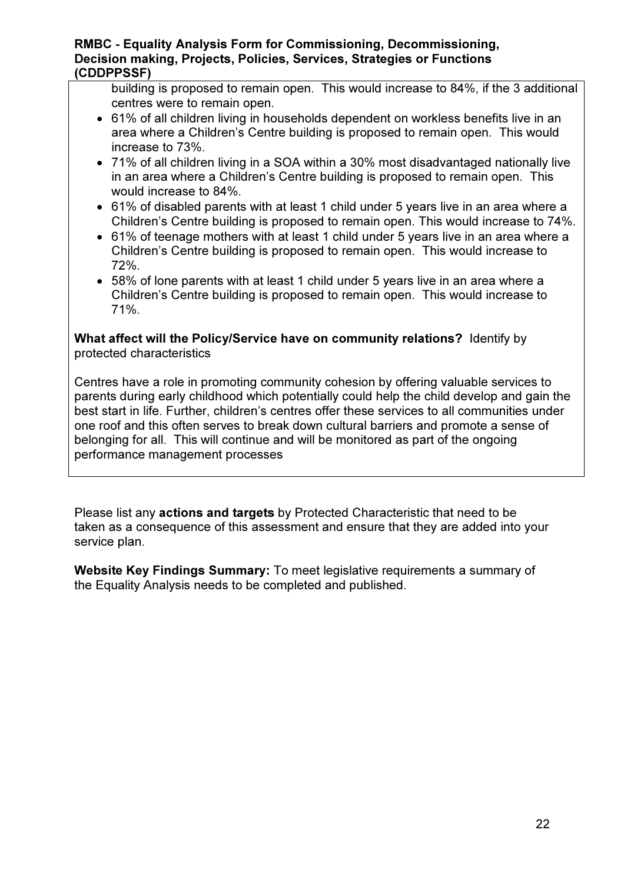building is proposed to remain open. This would increase to 84%, if the 3 additional centres were to remain open.

- 61% of all children living in households dependent on workless benefits live in an area where a Children's Centre building is proposed to remain open. This would increase to 73%.
- 71% of all children living in a SOA within a 30% most disadvantaged nationally live in an area where a Children's Centre building is proposed to remain open. This would increase to 84%.
- 61% of disabled parents with at least 1 child under 5 years live in an area where a Children's Centre building is proposed to remain open. This would increase to 74%.
- 61% of teenage mothers with at least 1 child under 5 years live in an area where a Children's Centre building is proposed to remain open. This would increase to 72%.
- 58% of lone parents with at least 1 child under 5 years live in an area where a Children's Centre building is proposed to remain open. This would increase to 71%.

What affect will the Policy/Service have on community relations? Identify by protected characteristics

Centres have a role in promoting community cohesion by offering valuable services to parents during early childhood which potentially could help the child develop and gain the best start in life. Further, children's centres offer these services to all communities under one roof and this often serves to break down cultural barriers and promote a sense of belonging for all. This will continue and will be monitored as part of the ongoing performance management processes

Please list any actions and targets by Protected Characteristic that need to be taken as a consequence of this assessment and ensure that they are added into your service plan.

Website Key Findings Summary: To meet legislative requirements a summary of the Equality Analysis needs to be completed and published.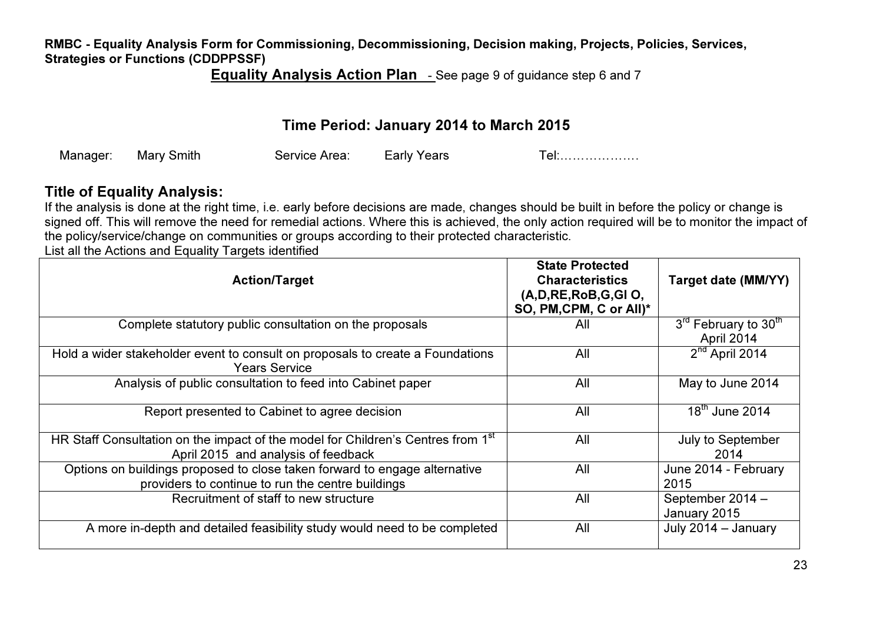Equality Analysis Action Plan <sub>-</sub> See page 9 of guidance step 6 and 7

# Time Period: January 2014 to March 2015

| $\sim$ $\sim$ $\sim$ $\sim$<br>Man | Mary<br>`mıth | Service<br>Area: | Years<br>arlv<br>---- | $\sim$<br>. |
|------------------------------------|---------------|------------------|-----------------------|-------------|
|------------------------------------|---------------|------------------|-----------------------|-------------|

# Title of Equality Analysis:

 If the analysis is done at the right time, i.e. early before decisions are made, changes should be built in before the policy or change is signed off. This will remove the need for remedial actions. Where this is achieved, the only action required will be to monitor the impact of the policy/service/change on communities or groups according to their protected characteristic.

List all the Actions and Equality Targets identified

| <b>Action/Target</b>                                                                                                                | <b>State Protected</b><br><b>Characteristics</b><br>(A, D, RE, RoB, G, GIO,<br>SO, PM, CPM, C or All)* | Target date (MM/YY)                            |
|-------------------------------------------------------------------------------------------------------------------------------------|--------------------------------------------------------------------------------------------------------|------------------------------------------------|
| Complete statutory public consultation on the proposals                                                                             | All                                                                                                    | 3rd February to 30 <sup>th</sup><br>April 2014 |
| Hold a wider stakeholder event to consult on proposals to create a Foundations<br><b>Years Service</b>                              | All                                                                                                    | $2nd$ April 2014                               |
| Analysis of public consultation to feed into Cabinet paper                                                                          | All                                                                                                    | May to June 2014                               |
| Report presented to Cabinet to agree decision                                                                                       | All                                                                                                    | $18th$ June 2014                               |
| HR Staff Consultation on the impact of the model for Children's Centres from 1 <sup>st</sup><br>April 2015 and analysis of feedback | All                                                                                                    | July to September<br>2014                      |
| Options on buildings proposed to close taken forward to engage alternative<br>providers to continue to run the centre buildings     | All                                                                                                    | June 2014 - February<br>2015                   |
| Recruitment of staff to new structure                                                                                               | All                                                                                                    | September 2014 -<br>January 2015               |
| A more in-depth and detailed feasibility study would need to be completed                                                           | All                                                                                                    | July 2014 - January                            |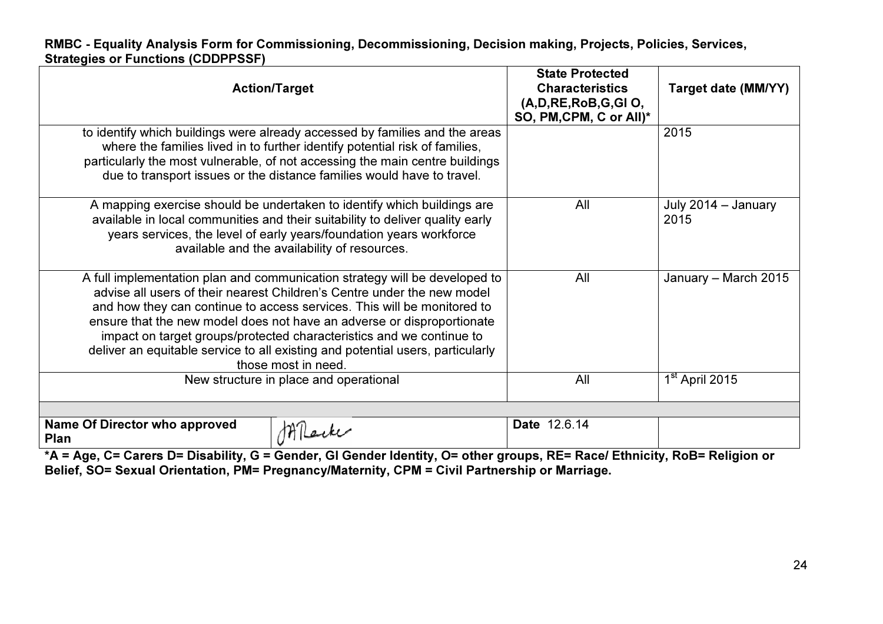| <b>Action/Target</b>                                                                                                                                                                                                                                                                                                                                                                                                                                                                        | <b>State Protected</b><br><b>Characteristics</b><br>(A, D, RE, RoB, G, GIO,<br>SO, PM, CPM, C or All)* | <b>Target date (MM/YY)</b>  |
|---------------------------------------------------------------------------------------------------------------------------------------------------------------------------------------------------------------------------------------------------------------------------------------------------------------------------------------------------------------------------------------------------------------------------------------------------------------------------------------------|--------------------------------------------------------------------------------------------------------|-----------------------------|
| to identify which buildings were already accessed by families and the areas<br>where the families lived in to further identify potential risk of families,<br>particularly the most vulnerable, of not accessing the main centre buildings<br>due to transport issues or the distance families would have to travel.                                                                                                                                                                        |                                                                                                        | 2015                        |
| A mapping exercise should be undertaken to identify which buildings are<br>available in local communities and their suitability to deliver quality early<br>years services, the level of early years/foundation years workforce<br>available and the availability of resources.                                                                                                                                                                                                             | All                                                                                                    | July 2014 - January<br>2015 |
| A full implementation plan and communication strategy will be developed to<br>advise all users of their nearest Children's Centre under the new model<br>and how they can continue to access services. This will be monitored to<br>ensure that the new model does not have an adverse or disproportionate<br>impact on target groups/protected characteristics and we continue to<br>deliver an equitable service to all existing and potential users, particularly<br>those most in need. | All                                                                                                    | January - March 2015        |
| New structure in place and operational                                                                                                                                                                                                                                                                                                                                                                                                                                                      | All                                                                                                    | 1 <sup>st</sup> April 2015  |
| <b>Name Of Director who approved</b><br>$1H$ leik $U$<br><b>Plan</b>                                                                                                                                                                                                                                                                                                                                                                                                                        | Date 12.6.14                                                                                           |                             |

 \*A = Age, C= Carers D= Disability, G = Gender, GI Gender Identity, O= other groups, RE= Race/ Ethnicity, RoB= Religion or Belief, SO= Sexual Orientation, PM= Pregnancy/Maternity, CPM = Civil Partnership or Marriage.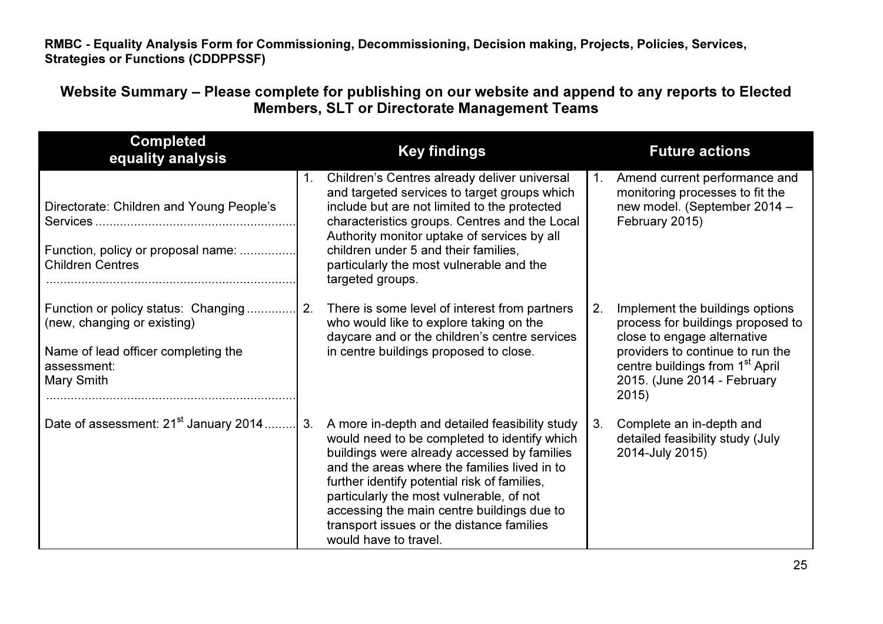Website Summary – Please complete for publishing on our website and append to any reports to Elected Members, SLT or Directorate Management Teams

| <b>Completed</b><br>equality analysis                                                                                                  |    | <b>Key findings</b>                                                                                                                                                                                                                                                                                                                                                                                           |                | <b>Future actions</b>                                                                                                                                                                                                          |
|----------------------------------------------------------------------------------------------------------------------------------------|----|---------------------------------------------------------------------------------------------------------------------------------------------------------------------------------------------------------------------------------------------------------------------------------------------------------------------------------------------------------------------------------------------------------------|----------------|--------------------------------------------------------------------------------------------------------------------------------------------------------------------------------------------------------------------------------|
| Directorate: Children and Young People's<br>Function, policy or proposal name:<br><b>Children Centres</b>                              | 1. | Children's Centres already deliver universal<br>and targeted services to target groups which<br>include but are not limited to the protected<br>characteristics groups. Centres and the Local<br>Authority monitor uptake of services by all<br>children under 5 and their families,<br>particularly the most vulnerable and the<br>targeted groups.                                                          | $\mathbf{1}$ . | Amend current performance and<br>monitoring processes to fit the<br>new model. (September 2014 -<br>February 2015)                                                                                                             |
| Function or policy status: Changing<br>(new, changing or existing)<br>Name of lead officer completing the<br>assessment:<br>Mary Smith | 2. | There is some level of interest from partners<br>who would like to explore taking on the<br>daycare and or the children's centre services<br>in centre buildings proposed to close.                                                                                                                                                                                                                           | 2.             | Implement the buildings options<br>process for buildings proposed to<br>close to engage alternative<br>providers to continue to run the<br>centre buildings from 1 <sup>st</sup> April<br>2015. (June 2014 - February<br>2015) |
| Date of assessment: 21 <sup>st</sup> January 2014                                                                                      | 3. | A more in-depth and detailed feasibility study<br>would need to be completed to identify which<br>buildings were already accessed by families<br>and the areas where the families lived in to<br>further identify potential risk of families,<br>particularly the most vulnerable, of not<br>accessing the main centre buildings due to<br>transport issues or the distance families<br>would have to travel. | 3.             | Complete an in-depth and<br>detailed feasibility study (July<br>2014-July 2015)                                                                                                                                                |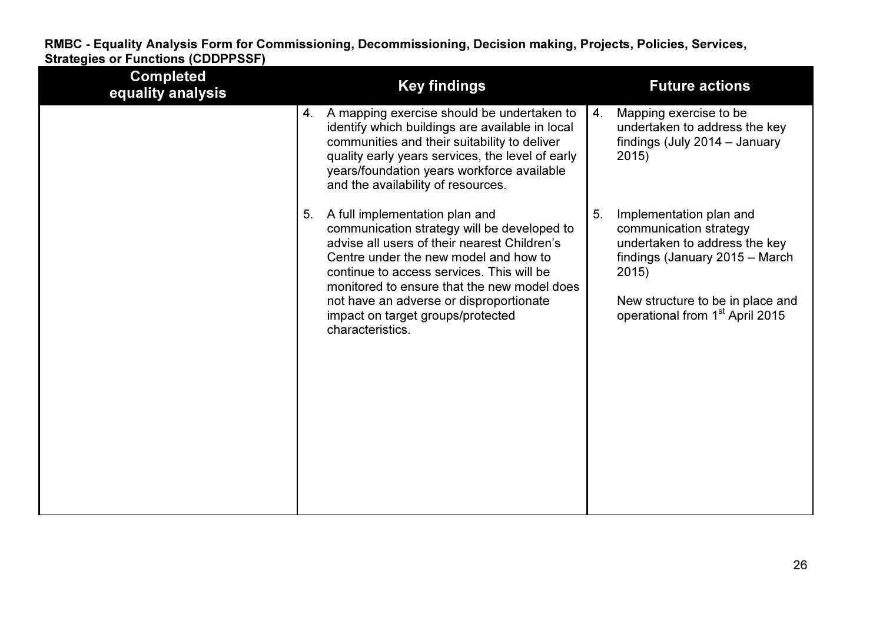| <b>Completed</b><br>equality analysis | <b>Key findings</b>                                                                                                                                                                                                                                                                                                                                                          | <b>Future actions</b>                                                                                                                                                                                                  |
|---------------------------------------|------------------------------------------------------------------------------------------------------------------------------------------------------------------------------------------------------------------------------------------------------------------------------------------------------------------------------------------------------------------------------|------------------------------------------------------------------------------------------------------------------------------------------------------------------------------------------------------------------------|
|                                       | A mapping exercise should be undertaken to<br>4.<br>identify which buildings are available in local<br>communities and their suitability to deliver<br>quality early years services, the level of early<br>years/foundation years workforce available<br>and the availability of resources.                                                                                  | Mapping exercise to be<br>4.<br>undertaken to address the key<br>findings (July 2014 – January<br>2015                                                                                                                 |
|                                       | A full implementation plan and<br>5.<br>communication strategy will be developed to<br>advise all users of their nearest Children's<br>Centre under the new model and how to<br>continue to access services. This will be<br>monitored to ensure that the new model does<br>not have an adverse or disproportionate<br>impact on target groups/protected<br>characteristics. | 5.<br>Implementation plan and<br>communication strategy<br>undertaken to address the key<br>findings (January 2015 - March<br>2015)<br>New structure to be in place and<br>operational from 1 <sup>st</sup> April 2015 |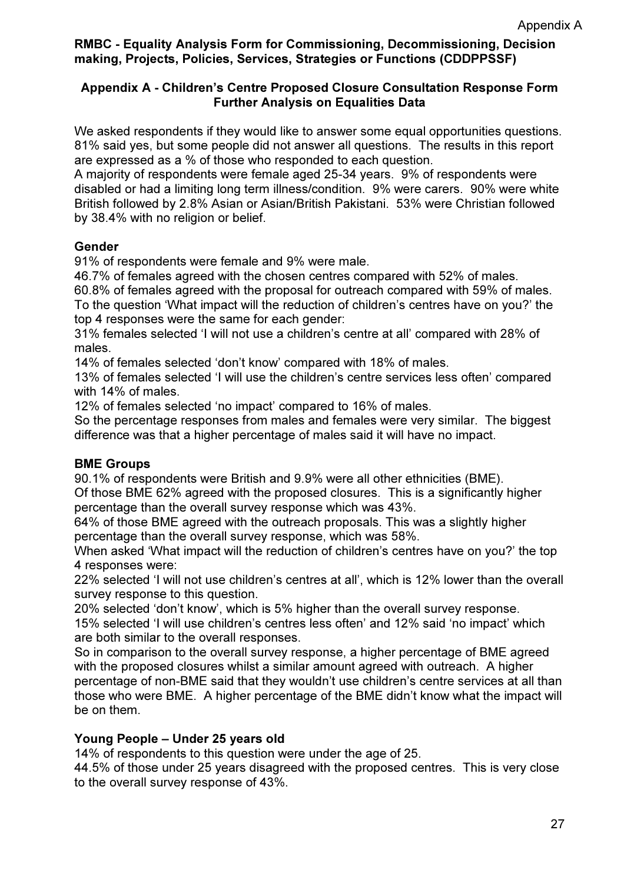# Appendix A - Children's Centre Proposed Closure Consultation Response Form Further Analysis on Equalities Data

We asked respondents if they would like to answer some equal opportunities questions. 81% said yes, but some people did not answer all questions. The results in this report are expressed as a % of those who responded to each question.

A majority of respondents were female aged 25-34 years. 9% of respondents were disabled or had a limiting long term illness/condition. 9% were carers. 90% were white British followed by 2.8% Asian or Asian/British Pakistani. 53% were Christian followed by 38.4% with no religion or belief.

# Gender

91% of respondents were female and 9% were male.

46.7% of females agreed with the chosen centres compared with 52% of males.

60.8% of females agreed with the proposal for outreach compared with 59% of males.

To the question 'What impact will the reduction of children's centres have on you?' the top 4 responses were the same for each gender:

31% females selected 'I will not use a children's centre at all' compared with 28% of males.

14% of females selected 'don't know' compared with 18% of males.

13% of females selected 'I will use the children's centre services less often' compared with 14% of males.

12% of females selected 'no impact' compared to 16% of males.

So the percentage responses from males and females were very similar. The biggest difference was that a higher percentage of males said it will have no impact.

#### BME Groups

90.1% of respondents were British and 9.9% were all other ethnicities (BME). Of those BME 62% agreed with the proposed closures. This is a significantly higher percentage than the overall survey response which was 43%.

64% of those BME agreed with the outreach proposals. This was a slightly higher percentage than the overall survey response, which was 58%.

When asked 'What impact will the reduction of children's centres have on you?' the top 4 responses were:

22% selected 'I will not use children's centres at all', which is 12% lower than the overall survey response to this question.

20% selected 'don't know', which is 5% higher than the overall survey response.

15% selected 'I will use children's centres less often' and 12% said 'no impact' which are both similar to the overall responses.

So in comparison to the overall survey response, a higher percentage of BME agreed with the proposed closures whilst a similar amount agreed with outreach. A higher percentage of non-BME said that they wouldn't use children's centre services at all than those who were BME. A higher percentage of the BME didn't know what the impact will be on them.

# Young People – Under 25 years old

14% of respondents to this question were under the age of 25.

44.5% of those under 25 years disagreed with the proposed centres. This is very close to the overall survey response of 43%.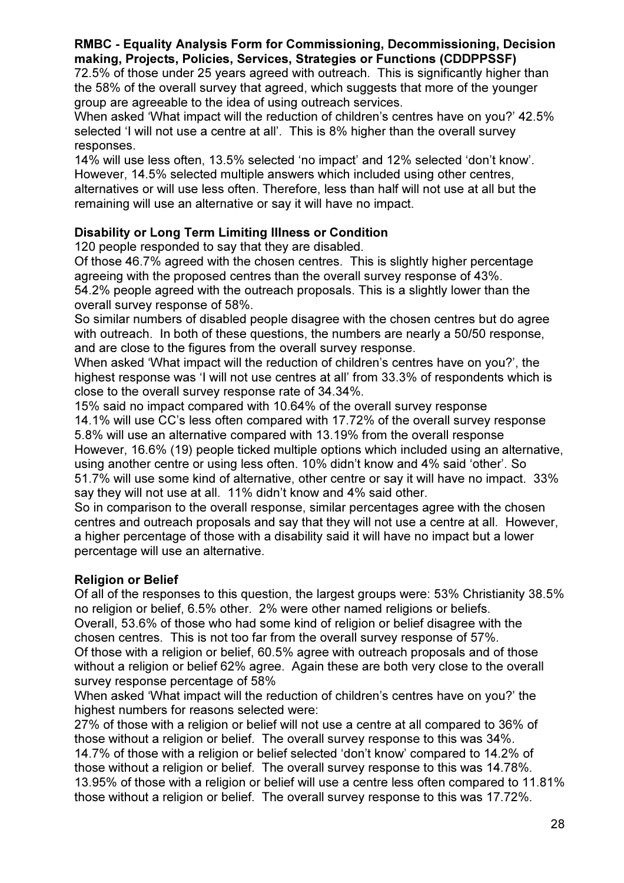72.5% of those under 25 years agreed with outreach. This is significantly higher than the 58% of the overall survey that agreed, which suggests that more of the younger group are agreeable to the idea of using outreach services.

When asked 'What impact will the reduction of children's centres have on you?' 42.5% selected 'I will not use a centre at all'. This is 8% higher than the overall survey responses.

14% will use less often, 13.5% selected 'no impact' and 12% selected 'don't know'. However, 14.5% selected multiple answers which included using other centres, alternatives or will use less often. Therefore, less than half will not use at all but the remaining will use an alternative or say it will have no impact.

# Disability or Long Term Limiting Illness or Condition

120 people responded to say that they are disabled.

Of those 46.7% agreed with the chosen centres. This is slightly higher percentage agreeing with the proposed centres than the overall survey response of 43%.

54.2% people agreed with the outreach proposals. This is a slightly lower than the overall survey response of 58%.

So similar numbers of disabled people disagree with the chosen centres but do agree with outreach. In both of these questions, the numbers are nearly a 50/50 response, and are close to the figures from the overall survey response.

When asked 'What impact will the reduction of children's centres have on you?', the highest response was 'I will not use centres at all' from 33.3% of respondents which is close to the overall survey response rate of 34.34%.

15% said no impact compared with 10.64% of the overall survey response 14.1% will use CC's less often compared with 17.72% of the overall survey response 5.8% will use an alternative compared with 13.19% from the overall response However, 16.6% (19) people ticked multiple options which included using an alternative, using another centre or using less often. 10% didn't know and 4% said 'other'. So

51.7% will use some kind of alternative, other centre or say it will have no impact. 33% say they will not use at all. 11% didn't know and 4% said other.

So in comparison to the overall response, similar percentages agree with the chosen centres and outreach proposals and say that they will not use a centre at all. However, a higher percentage of those with a disability said it will have no impact but a lower percentage will use an alternative.

# Religion or Belief

Of all of the responses to this question, the largest groups were: 53% Christianity 38.5% no religion or belief, 6.5% other. 2% were other named religions or beliefs. Overall, 53.6% of those who had some kind of religion or belief disagree with the chosen centres. This is not too far from the overall survey response of 57%. Of those with a religion or belief, 60.5% agree with outreach proposals and of those without a religion or belief 62% agree. Again these are both very close to the overall survey response percentage of 58%

When asked 'What impact will the reduction of children's centres have on you?' the highest numbers for reasons selected were:

27% of those with a religion or belief will not use a centre at all compared to 36% of those without a religion or belief. The overall survey response to this was 34%. 14.7% of those with a religion or belief selected 'don't know' compared to 14.2% of those without a religion or belief. The overall survey response to this was 14.78%. 13.95% of those with a religion or belief will use a centre less often compared to 11.81% those without a religion or belief. The overall survey response to this was 17.72%.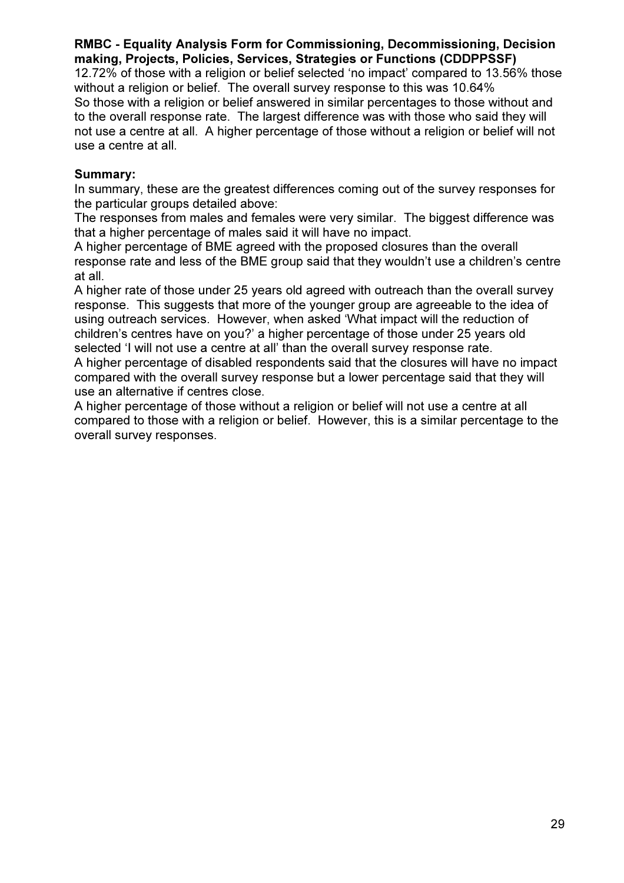12.72% of those with a religion or belief selected 'no impact' compared to 13.56% those without a religion or belief. The overall survey response to this was 10.64% So those with a religion or belief answered in similar percentages to those without and to the overall response rate. The largest difference was with those who said they will not use a centre at all. A higher percentage of those without a religion or belief will not use a centre at all.

#### Summary:

In summary, these are the greatest differences coming out of the survey responses for the particular groups detailed above:

The responses from males and females were very similar. The biggest difference was that a higher percentage of males said it will have no impact.

A higher percentage of BME agreed with the proposed closures than the overall response rate and less of the BME group said that they wouldn't use a children's centre at all.

A higher rate of those under 25 years old agreed with outreach than the overall survey response. This suggests that more of the younger group are agreeable to the idea of using outreach services. However, when asked 'What impact will the reduction of children's centres have on you?' a higher percentage of those under 25 years old selected 'I will not use a centre at all' than the overall survey response rate.

A higher percentage of disabled respondents said that the closures will have no impact compared with the overall survey response but a lower percentage said that they will use an alternative if centres close.

A higher percentage of those without a religion or belief will not use a centre at all compared to those with a religion or belief. However, this is a similar percentage to the overall survey responses.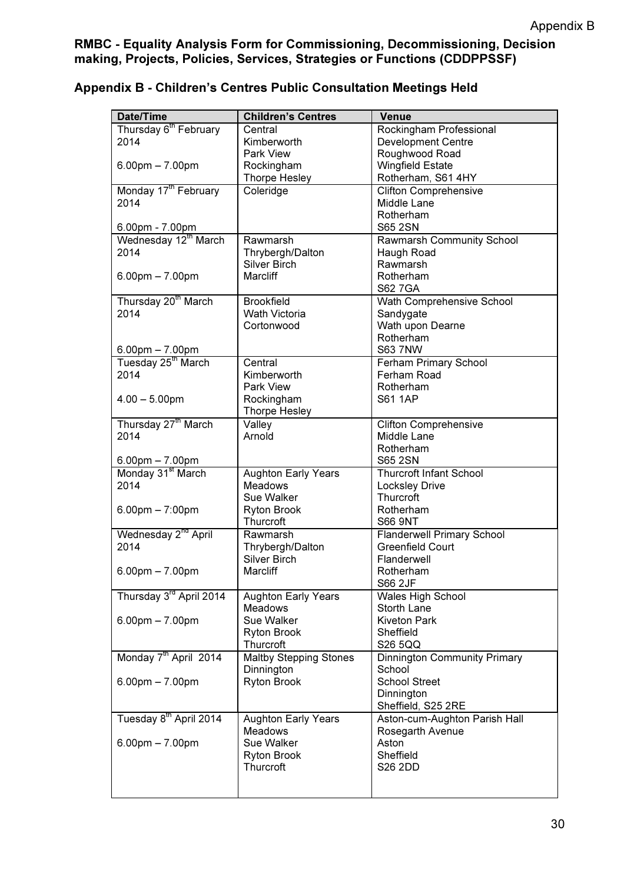| Date/Time                                               | <b>Children's Centres</b>     | <b>Venue</b>                                |
|---------------------------------------------------------|-------------------------------|---------------------------------------------|
| Thursday 6 <sup>th</sup> February                       | Central                       | Rockingham Professional                     |
| 2014                                                    | Kimberworth                   | <b>Development Centre</b>                   |
|                                                         | Park View                     | Roughwood Road                              |
| $6.00$ pm $- 7.00$ pm                                   | Rockingham                    | <b>Wingfield Estate</b>                     |
|                                                         | <b>Thorpe Hesley</b>          | Rotherham, S61 4HY                          |
| Monday 17 <sup>th</sup> February                        | Coleridge                     | <b>Clifton Comprehensive</b>                |
| 2014                                                    |                               | Middle Lane                                 |
|                                                         |                               | Rotherham                                   |
| 6.00pm - 7.00pm                                         |                               | <b>S65 2SN</b>                              |
| Wednesday 12th March                                    | Rawmarsh                      | Rawmarsh Community School                   |
| 2014                                                    | Thrybergh/Dalton              | Haugh Road                                  |
|                                                         | <b>Silver Birch</b>           | Rawmarsh                                    |
| $6.00$ pm $- 7.00$ pm                                   | Marcliff                      | Rotherham                                   |
|                                                         |                               | <b>S62 7GA</b>                              |
| Thursday 20 <sup>th</sup> March                         | <b>Brookfield</b>             | Wath Comprehensive School                   |
| 2014                                                    | <b>Wath Victoria</b>          | Sandygate                                   |
|                                                         | Cortonwood                    | Wath upon Dearne                            |
|                                                         |                               | Rotherham                                   |
|                                                         |                               | <b>S63 7NW</b>                              |
| $6.00$ pm $- 7.00$ pm<br>Tuesday 25 <sup>th</sup> March | Central                       |                                             |
| 2014                                                    | Kimberworth                   | Ferham Primary School<br>Ferham Road        |
|                                                         |                               |                                             |
|                                                         | Park View                     | Rotherham                                   |
| $4.00 - 5.00$ pm                                        | Rockingham                    | <b>S61 1AP</b>                              |
| Thursday 27 <sup>th</sup> March                         | <b>Thorpe Hesley</b>          |                                             |
| 2014                                                    | Valley<br>Arnold              | <b>Clifton Comprehensive</b><br>Middle Lane |
|                                                         |                               |                                             |
|                                                         |                               | Rotherham                                   |
| $6.00$ pm $- 7.00$ pm                                   |                               | S65 2SN                                     |
| Monday 31 <sup>st</sup> March                           | <b>Aughton Early Years</b>    | <b>Thurcroft Infant School</b>              |
| 2014                                                    | <b>Meadows</b>                | <b>Locksley Drive</b>                       |
|                                                         | Sue Walker                    | Thurcroft                                   |
| $6.00 \text{pm} - 7:00 \text{pm}$                       | <b>Ryton Brook</b>            | Rotherham                                   |
|                                                         | Thurcroft                     | <b>S66 9NT</b>                              |
| Wednesday 2 <sup>nd</sup> April                         | Rawmarsh                      | Flanderwell Primary School                  |
| 2014                                                    | Thrybergh/Dalton              | <b>Greenfield Court</b>                     |
|                                                         | <b>Silver Birch</b>           | Flanderwell                                 |
| $6.00 \text{pm} - 7.00 \text{pm}$                       | Marcliff                      | Rotherham                                   |
|                                                         |                               | S66 2JF                                     |
| Thursday 3 <sup>rd</sup> April 2014                     | <b>Aughton Early Years</b>    | Wales High School                           |
|                                                         | <b>Meadows</b>                | Storth Lane                                 |
| $6.00$ pm $- 7.00$ pm                                   | Sue Walker                    | <b>Kiveton Park</b>                         |
|                                                         | <b>Ryton Brook</b>            | Sheffield                                   |
|                                                         | Thurcroft                     | S26 5QQ                                     |
| Monday 7 <sup>th</sup> April 2014                       | <b>Maltby Stepping Stones</b> | <b>Dinnington Community Primary</b>         |
|                                                         | Dinnington                    | School                                      |
| $6.00$ pm $- 7.00$ pm                                   | <b>Ryton Brook</b>            | <b>School Street</b>                        |
|                                                         |                               | Dinnington                                  |
|                                                         |                               | Sheffield, S25 2RE                          |
|                                                         | <b>Aughton Early Years</b>    | Aston-cum-Aughton Parish Hall               |
| Tuesday 8 <sup>th</sup> April 2014                      |                               |                                             |
|                                                         | <b>Meadows</b>                | Rosegarth Avenue                            |
| $6.00$ pm $- 7.00$ pm                                   | Sue Walker                    | Aston                                       |
|                                                         | Ryton Brook                   | Sheffield                                   |
|                                                         | Thurcroft                     | S26 2DD                                     |

# Appendix B - Children's Centres Public Consultation Meetings Held